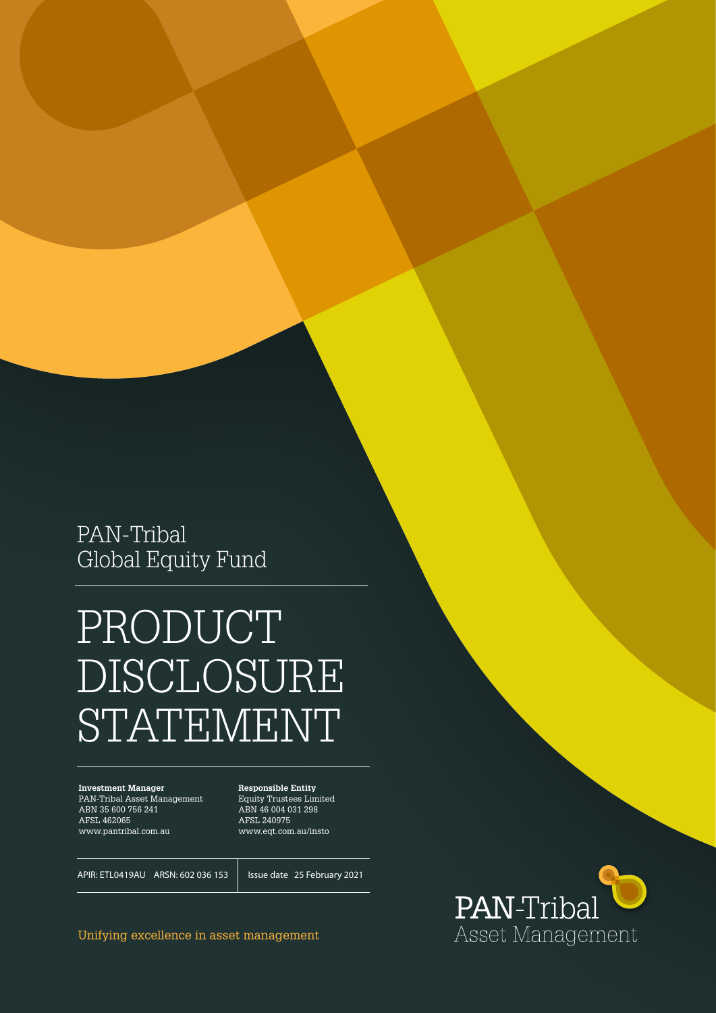PAN-Tribal Global Equity Fund

# PRODUCT DISCLOSURE STATEMENT

**Investment Manager** PAN-Tribal Asset Management ABN 35 600 756 241 AFSL 462065 www.pantribal.com.au

**Responsible Entity** Equity Trustees Limited ABN 46 004 031 298 AFSL 240975 www.eqt.com.au/insto

APIR: ETL0419AU ARSN: 602 036 153

Issue date 25 February 2021

Unifying excellence in asset management

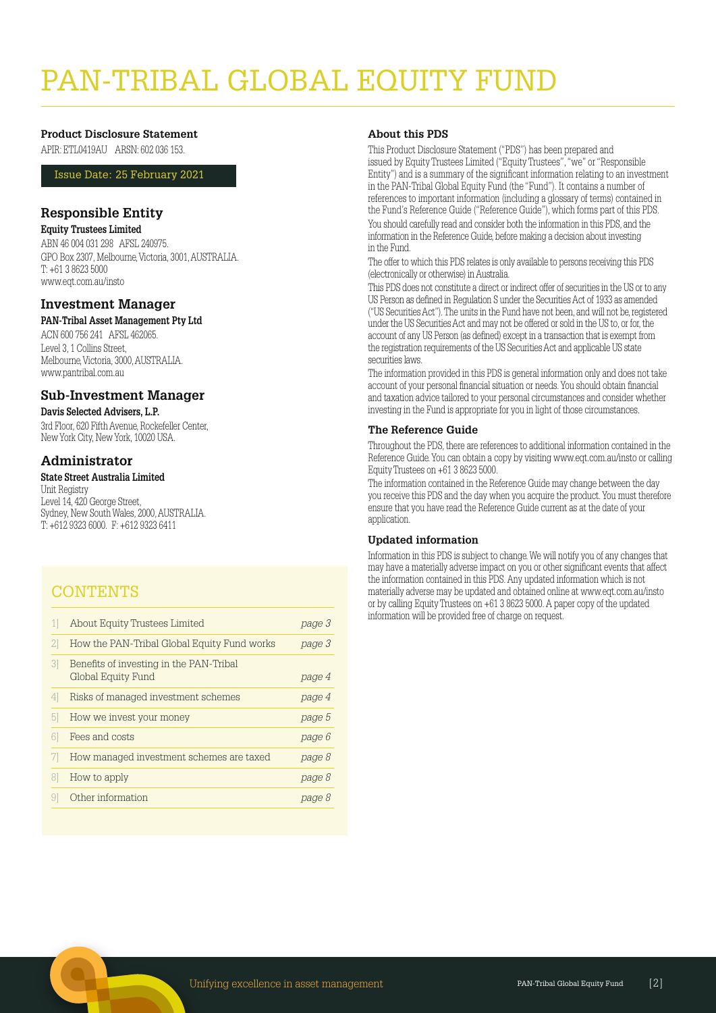# PAN-TRIBAL GLOBAL EQUITY FUN

#### **Product Disclosure Statement**

APIR: ETL0419AU ARSN: 602 036 153.

Issue Date: 25 February 2021

#### **Responsible Entity**

#### **Equity Trustees Limited**

ABN 46 004 031 298 AFSL 240975. GPO Box 2307, Melbourne, Victoria, 3001, AUSTRALIA. T: +61 3 8623 5000 www.eqt.com.au/insto

#### **Investment Manager**

#### **PAN-Tribal Asset Management Pty Ltd**

ACN 600 756 241 AFSL 462065. Level 3, 1 Collins Street, Melbourne, Victoria, 3000, AUSTRALIA. www.pantribal.com.au

#### **Sub-Investment Manager**

#### **Davis Selected Advisers, L.P.**

3rd Floor, 620 Fifth Avenue, Rockefeller Center, New York City, New York, 10020 USA.

#### **Administrator**

#### **State Street Australia Limited**

Unit Registry Level 14, 420 George Street. Sydney, New South Wales, 2000, AUSTRALIA. T: +612 9323 6000. F: +612 9323 6411

# **CONTENTS**

|    | About Equity Trustees Limited                                 | page 3 |
|----|---------------------------------------------------------------|--------|
| 2. | How the PAN-Tribal Global Equity Fund works                   | page 3 |
| 31 | Benefits of investing in the PAN-Tribal<br>Global Equity Fund | page 4 |
| 4  | Risks of managed investment schemes                           | page 4 |
| b  | How we invest your money                                      | page 5 |
|    | Fees and costs                                                | page 6 |
|    | How managed investment schemes are taxed                      | page 8 |
|    | How to apply                                                  | page 8 |
|    | Other information                                             | page 8 |
|    |                                                               |        |

#### **About this PDS**

This Product Disclosure Statement ("PDS") has been prepared and issued by Equity Trustees Limited ("Equity Trustees", "we" or "Responsible Entity") and is a summary of the significant information relating to an investment in the PAN-Tribal Global Equity Fund (the "Fund"). It contains a number of references to important information (including a glossary of terms) contained in the Fund's Reference Guide ("Reference Guide"), which forms part of this PDS.

You should carefully read and consider both the information in this PDS, and the information in the Reference Guide, before making a decision about investing in the Fund.

The offer to which this PDS relates is only available to persons receiving this PDS (electronically or otherwise) in Australia.

This PDS does not constitute a direct or indirect offer of securities in the US or to any US Person as defined in Regulation S under the Securities Act of 1933 as amended ("US Securities Act"). The units in the Fund have not been, and will not be, registered under the US Securities Act and may not be offered or sold in the US to, or for, the account of any US Person (as defined) except in a transaction that is exempt from the registration requirements of the US Securities Act and applicable US state securities laws.

The information provided in this PDS is general information only and does not take account of your personal financial situation or needs. You should obtain financial and taxation advice tailored to your personal circumstances and consider whether investing in the Fund is appropriate for you in light of those circumstances.

#### **The Reference Guide**

Throughout the PDS, there are references to additional information contained in the Reference Guide. You can obtain a copy by visiting www.eqt.com.au/insto or calling Equity Trustees on +61 3 8623 5000.

The information contained in the Reference Guide may change between the day you receive this PDS and the day when you acquire the product. You must therefore ensure that you have read the Reference Guide current as at the date of your application.

#### **Updated information**

Information in this PDS is subject to change. We will notify you of any changes that may have a materially adverse impact on you or other significant events that affect the information contained in this PDS. Any updated information which is not materially adverse may be updated and obtained online at www.eqt.com.au/insto or by calling Equity Trustees on +61 3 8623 5000. A paper copy of the updated information will be provided free of charge on request.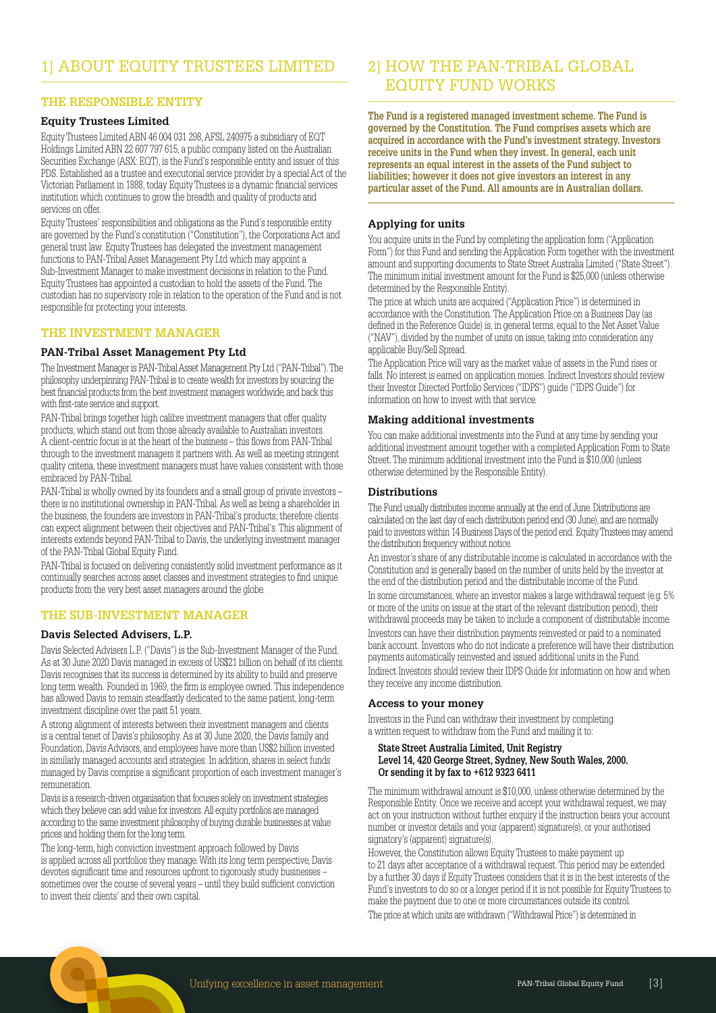#### **THE RESPONSIBLE ENTITY**

#### **Equity Trustees Limited**

Equity Trustees Limited ABN 46 004 031 298, AFSL 240975 a subsidiary of EQT Holdings Limited ABN 22 607 797 615, a public company listed on the Australian Securities Exchange (ASX: EQT), is the Fund's responsible entity and issuer of this PDS. Established as a trustee and executorial service provider by a special Act of the Victorian Parliament in 1888, today Equity Trustees is a dynamic financial services institution which continues to grow the breadth and quality of products and services on offer

Equity Trustees' responsibilities and obligations as the Fund's responsible entity are governed by the Fund's constitution ("Constitution"), the Corporations Act and general trust law. Equity Trustees has delegated the investment management functions to PAN-Tribal Asset Management Pty Ltd which may appoint a Sub-Investment Manager to make investment decisions in relation to the Fund. Equity Trustees has appointed a custodian to hold the assets of the Fund. The custodian has no supervisory role in relation to the operation of the Fund and is not responsible for protecting your interests.

#### **THE INVESTMENT MANAGER**

#### **PAN-Tribal Asset Management Pty Ltd**

The Investment Manager is PAN-Tribal Asset Management Pty Ltd ("PAN-Tribal"). The philosophy underpinning PAN-Tribal is to create wealth for investors by sourcing the best financial products from the best investment managers worldwide, and back this with first-rate service and support.

PAN-Tribal brings together high calibre investment managers that offer quality products, which stand out from those already available to Australian investors. A client-centric focus is at the heart of the business – this flows from PAN-Tribal through to the investment managers it partners with. As well as meeting stringent quality criteria, these investment managers must have values consistent with those embraced by PAN-Tribal.

PAN-Tribal is wholly owned by its founders and a small group of private investors there is no institutional ownership in PAN-Tribal. As well as being a shareholder in the business, the founders are investors in PAN-Tribal's products; therefore clients can expect alignment between their objectives and PAN-Tribal's. This alignment of interests extends beyond PAN-Tribal to Davis, the underlying investment manager of the PAN-Tribal Global Equity Fund.

PAN-Tribal is focused on delivering consistently solid investment performance as it continually searches across asset classes and investment strategies to find unique products from the very best asset managers around the globe.

#### **THE SUB-INVESTMENT MANAGER**

#### **Davis Selected Advisers, L.P.**

Davis Selected Advisers L.P. ("Davis") is the Sub-Investment Manager of the Fund. As at 30 June 2020 Davis managed in excess of US\$21 billion on behalf of its clients. Davis recognises that its success is determined by its ability to build and preserve long term wealth. Founded in 1969, the firm is employee owned. This independence has allowed Davis to remain steadfastly dedicated to the same patient, long-term investment discipline over the past 51 years.

A strong alignment of interests between their investment managers and clients is a central tenet of Davis's philosophy. As at 30 June 2020, the Davis family and Foundation, Davis Advisors, and employees have more than US\$2 billion invested in similarly managed accounts and strategies. In addition, shares in select funds managed by Davis comprise a significant proportion of each investment manager's remuneration.

Davis is a research-driven organisation that focuses solely on investment strategies which they believe can add value for investors. All equity portfolios are managed according to the same investment philosophy of buying durable businesses at value prices and holding them for the long term.

The long-term, high conviction investment approach followed by Davis is applied across all portfolios they manage. With its long term perspective, Davis devotes significant time and resources upfront to rigorously study businesses – sometimes over the course of several years – until they build sufficient conviction to invest their clients' and their own capital.

# 2] HOW THE PAN-TRIBAL GLOBAL EQUITY FUND WORKS

**The Fund is a registered managed investment scheme. The Fund is governed by the Constitution. The Fund comprises assets which are acquired in accordance with the Fund's investment strategy. Investors receive units in the Fund when they invest. In general, each unit represents an equal interest in the assets of the Fund subject to liabilities; however it does not give investors an interest in any particular asset of the Fund. All amounts are in Australian dollars.**

#### **Applying for units**

You acquire units in the Fund by completing the application form ("Application Form") for this Fund and sending the Application Form together with the investment amount and supporting documents to State Street Australia Limited ("State Street"). The minimum initial investment amount for the Fund is \$25,000 (unless otherwise determined by the Responsible Entity).

The price at which units are acquired ("Application Price") is determined in accordance with the Constitution. The Application Price on a Business Day (as defined in the Reference Guide) is, in general terms, equal to the Net Asset Value ("NAV"), divided by the number of units on issue, taking into consideration any applicable Buy/Sell Spread.

The Application Price will vary as the market value of assets in the Fund rises or falls. No interest is earned on application monies. Indirect Investors should review their Investor Directed Portfolio Services ("IDPS") guide ("IDPS Guide") for information on how to invest with that service.

#### **Making additional investments**

You can make additional investments into the Fund at any time by sending your additional investment amount together with a completed Application Form to State Street. The minimum additional investment into the Fund is \$10,000 (unless otherwise determined by the Responsible Entity).

#### **Distributions**

The Fund usually distributes income annually at the end of June. Distributions are calculated on the last day of each distribution period end (30 June), and are normally paid to investors within 14 Business Days of the period end. Equity Trustees may amend the distribution frequency without notice.

An investor's share of any distributable income is calculated in accordance with the Constitution and is generally based on the number of units held by the investor at the end of the distribution period and the distributable income of the Fund.

In some circumstances, where an investor makes a large withdrawal request (e.g. 5% or more of the units on issue at the start of the relevant distribution period), their withdrawal proceeds may be taken to include a component of distributable income. Investors can have their distribution payments reinvested or paid to a nominated bank account. Investors who do not indicate a preference will have their distribution payments automatically reinvested and issued additional units in the Fund. Indirect Investors should review their IDPS Guide for information on how and when they receive any income distribution.

#### **Access to your money**

Investors in the Fund can withdraw their investment by completing a written request to withdraw from the Fund and mailing it to:

#### **State Street Australia Limited, Unit Registry Level 14, 420 George Street, Sydney, New South Wales, 2000. Or sending it by fax to +612 9323 6411**

The minimum withdrawal amount is \$10,000, unless otherwise determined by the Responsible Entity. Once we receive and accept your withdrawal request, we may act on your instruction without further enquiry if the instruction bears your account number or investor details and your (apparent) signature(s), or your authorised signatory's (apparent) signature(s).

However, the Constitution allows Equity Trustees to make payment up to 21 days after acceptance of a withdrawal request. This period may be extended by a further 30 days if Equity Trustees considers that it is in the best interests of the Fund's investors to do so or a longer period if it is not possible for Equity Trustees to make the payment due to one or more circumstances outside its control. The price at which units are withdrawn ("Withdrawal Price") is determined in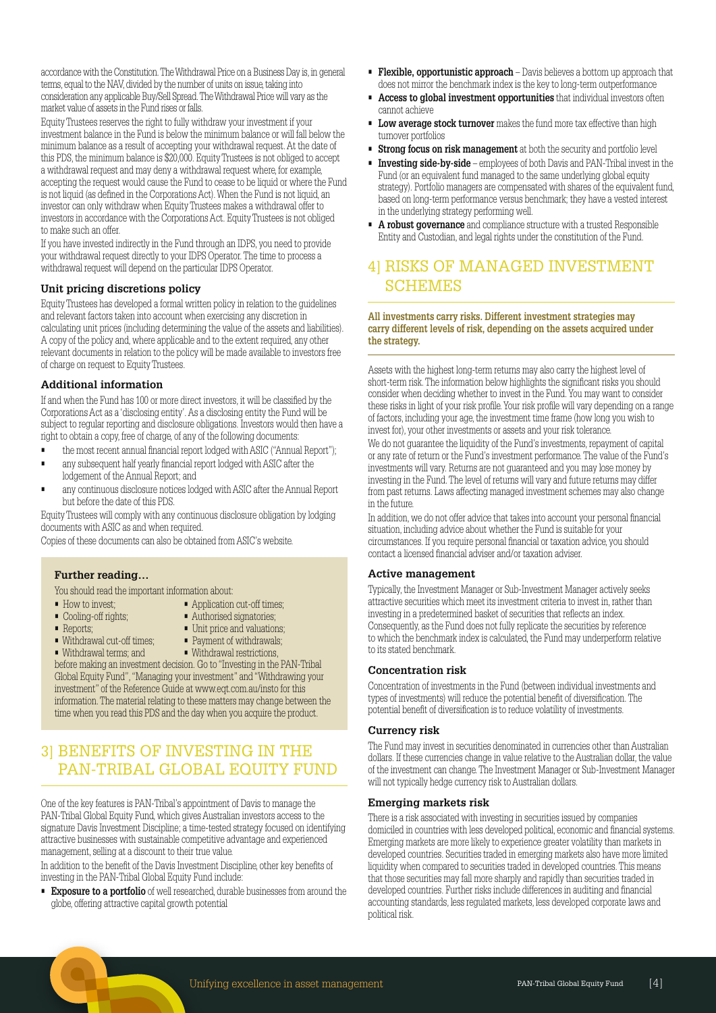accordance with the Constitution. The Withdrawal Price on a Business Day is, in general terms, equal to the NAV, divided by the number of units on issue, taking into consideration any applicable Buy/Sell Spread. The Withdrawal Price will vary as the market value of assets in the Fund rises or falls.

Equity Trustees reserves the right to fully withdraw your investment if your investment balance in the Fund is below the minimum balance or will fall below the minimum balance as a result of accepting your withdrawal request. At the date of this PDS, the minimum balance is \$20,000. Equity Trustees is not obliged to accept a withdrawal request and may deny a withdrawal request where, for example, accepting the request would cause the Fund to cease to be liquid or where the Fund is not liquid (as defined in the Corporations Act). When the Fund is not liquid, an investor can only withdraw when Equity Trustees makes a withdrawal offer to investors in accordance with the Corporations Act. Equity Trustees is not obliged to make such an offer.

If you have invested indirectly in the Fund through an IDPS, you need to provide your withdrawal request directly to your IDPS Operator. The time to process a withdrawal request will depend on the particular IDPS Operator.

#### **Unit pricing discretions policy**

Equity Trustees has developed a formal written policy in relation to the guidelines and relevant factors taken into account when exercising any discretion in calculating unit prices (including determining the value of the assets and liabilities). A copy of the policy and, where applicable and to the extent required, any other relevant documents in relation to the policy will be made available to investors free of charge on request to Equity Trustees.

#### **Additional information**

If and when the Fund has 100 or more direct investors, it will be classified by the Corporations Act as a 'disclosing entity'. As a disclosing entity the Fund will be subject to regular reporting and disclosure obligations. Investors would then have a right to obtain a copy, free of charge, of any of the following documents:

- the most recent annual financial report lodged with ASIC ("Annual Report");
- any subsequent half yearly financial report lodged with ASIC after the lodgement of the Annual Report; and
- any continuous disclosure notices lodged with ASIC after the Annual Report but before the date of this PDS.

Equity Trustees will comply with any continuous disclosure obligation by lodging documents with ASIC as and when required.

Copies of these documents can also be obtained from ASIC's website.

#### **Further reading…**

You should read the important information about:

- 
- How to invest: • Application cut-off times:
- Cooling-off rights; Authorised signatories; • Reports; • Unit price and valuations;
- 
- Withdrawal cut-off times; Payment of withdrawals;<br>• Withdrawal terms: and Withdrawal restrictions.
	- $\blacksquare$  Withdrawal restrictions,

before making an investment decision. Go to "Investing in the PAN-Tribal Global Equity Fund", "Managing your investment" and "Withdrawing your investment" of the Reference Guide at www.eqt.com.au/insto for this information. The material relating to these matters may change between the time when you read this PDS and the day when you acquire the product.

# 3] BENEFITS OF INVESTING IN THE PAN-TRIBAL GLOBAL EQUITY FUND

One of the key features is PAN-Tribal's appointment of Davis to manage the PAN-Tribal Global Equity Fund, which gives Australian investors access to the signature Davis Investment Discipline; a time-tested strategy focused on identifying attractive businesses with sustainable competitive advantage and experienced management, selling at a discount to their true value.

In addition to the benefit of the Davis Investment Discipline, other key benefits of investing in the PAN-Tribal Global Equity Fund include:

**Exposure to a portfolio** of well researched, durable businesses from around the globe, offering attractive capital growth potential

- **Flexible, opportunistic approach**  Davis believes a bottom up approach that does not mirror the benchmark index is the key to long-term outperformance
- **Access to global investment opportunities** that individual investors often cannot achieve
- **Low average stock turnover** makes the fund more tax effective than high turnover portfolios
- **Strong focus on risk management** at both the security and portfolio level
- **Investing side-by-side** employees of both Davis and PAN-Tribal invest in the Fund (or an equivalent fund managed to the same underlying global equity strategy). Portfolio managers are compensated with shares of the equivalent fund, based on long-term performance versus benchmark; they have a vested interest in the underlying strategy performing well.
- **A robust governance** and compliance structure with a trusted Responsible Entity and Custodian, and legal rights under the constitution of the Fund.

# 4] RISKS OF MANAGED INVESTMENT **SCHEMES**

#### **All investments carry risks. Different investment strategies may carry different levels of risk, depending on the assets acquired under the strategy.**

Assets with the highest long-term returns may also carry the highest level of short-term risk. The information below highlights the significant risks you should consider when deciding whether to invest in the Fund. You may want to consider these risks in light of your risk profile. Your risk profile will vary depending on a range of factors, including your age, the investment time frame (how long you wish to invest for), your other investments or assets and your risk tolerance.

We do not guarantee the liquidity of the Fund's investments, repayment of capital or any rate of return or the Fund's investment performance. The value of the Fund's investments will vary. Returns are not guaranteed and you may lose money by investing in the Fund. The level of returns will vary and future returns may differ from past returns. Laws affecting managed investment schemes may also change in the future.

In addition, we do not offer advice that takes into account your personal financial situation, including advice about whether the Fund is suitable for your circumstances. If you require personal financial or taxation advice, you should contact a licensed financial adviser and/or taxation adviser.

#### **Active management**

Typically, the Investment Manager or Sub-Investment Manager actively seeks attractive securities which meet its investment criteria to invest in, rather than investing in a predetermined basket of securities that reflects an index. Consequently, as the Fund does not fully replicate the securities by reference to which the benchmark index is calculated, the Fund may underperform relative to its stated benchmark.

#### **Concentration risk**

Concentration of investments in the Fund (between individual investments and types of investments) will reduce the potential benefit of diversification. The potential benefit of diversification is to reduce volatility of investments.

#### **Currency risk**

The Fund may invest in securities denominated in currencies other than Australian dollars. If these currencies change in value relative to the Australian dollar, the value of the investment can change. The Investment Manager or Sub-Investment Manager will not typically hedge currency risk to Australian dollars.

#### **Emerging markets risk**

There is a risk associated with investing in securities issued by companies domiciled in countries with less developed political, economic and financial systems. Emerging markets are more likely to experience greater volatility than markets in developed countries. Securities traded in emerging markets also have more limited liquidity when compared to securities traded in developed countries. This means that those securities may fall more sharply and rapidly than securities traded in developed countries. Further risks include differences in auditing and financial accounting standards, less regulated markets, less developed corporate laws and political risk.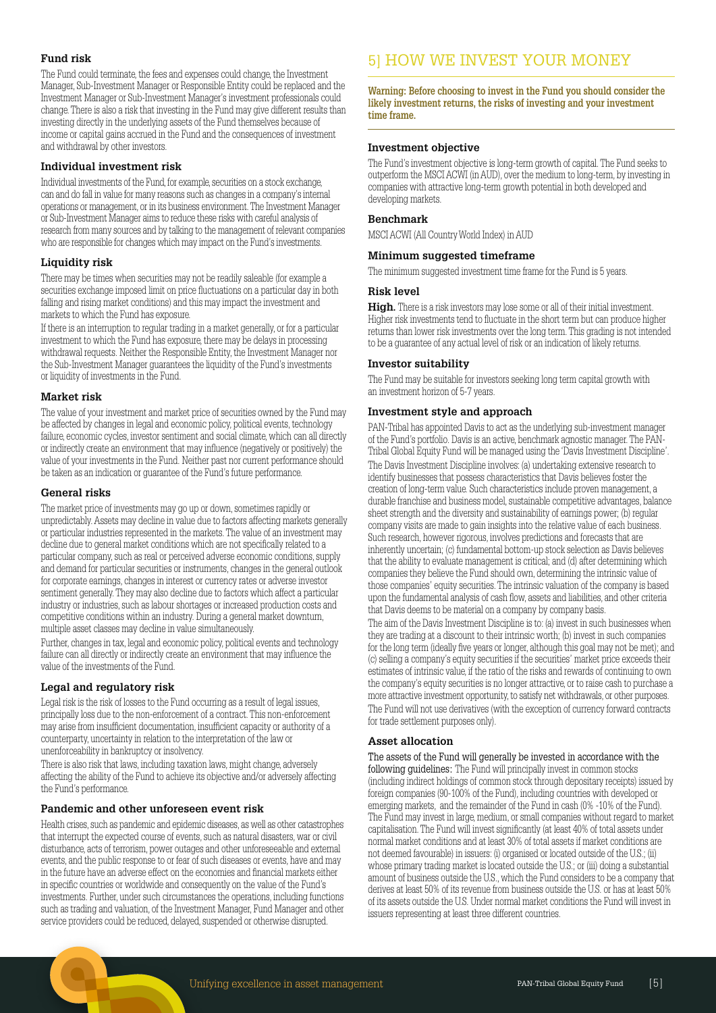#### **Fund risk**

The Fund could terminate, the fees and expenses could change, the Investment Manager, Sub-Investment Manager or Responsible Entity could be replaced and the Investment Manager or Sub-Investment Manager's investment professionals could change. There is also a risk that investing in the Fund may give different results than investing directly in the underlying assets of the Fund themselves because of income or capital gains accrued in the Fund and the consequences of investment and withdrawal by other investors.

#### **Individual investment risk**

Individual investments of the Fund, for example, securities on a stock exchange, can and do fall in value for many reasons such as changes in a company's internal operations or management, or in its business environment. The Investment Manager or Sub-Investment Manager aims to reduce these risks with careful analysis of research from many sources and by talking to the management of relevant companies who are responsible for changes which may impact on the Fund's investments.

#### **Liquidity risk**

There may be times when securities may not be readily saleable (for example a securities exchange imposed limit on price fluctuations on a particular day in both falling and rising market conditions) and this may impact the investment and markets to which the Fund has exposure.

If there is an interruption to regular trading in a market generally, or for a particular investment to which the Fund has exposure, there may be delays in processing withdrawal requests. Neither the Responsible Entity, the Investment Manager nor the Sub-Investment Manager guarantees the liquidity of the Fund's investments or liquidity of investments in the Fund.

#### **Market risk**

The value of your investment and market price of securities owned by the Fund may be affected by changes in legal and economic policy, political events, technology failure, economic cycles, investor sentiment and social climate, which can all directly or indirectly create an environment that may influence (negatively or positively) the value of your investments in the Fund. Neither past nor current performance should be taken as an indication or guarantee of the Fund's future performance.

#### **General risks**

The market price of investments may go up or down, sometimes rapidly or unpredictably. Assets may decline in value due to factors affecting markets generally or particular industries represented in the markets. The value of an investment may decline due to general market conditions which are not specifically related to a particular company, such as real or perceived adverse economic conditions, supply and demand for particular securities or instruments, changes in the general outlook for corporate earnings, changes in interest or currency rates or adverse investor sentiment generally. They may also decline due to factors which affect a particular industry or industries, such as labour shortages or increased production costs and competitive conditions within an industry. During a general market downturn, multiple asset classes may decline in value simultaneously.

Further, changes in tax, legal and economic policy, political events and technology failure can all directly or indirectly create an environment that may influence the value of the investments of the Fund.

#### **Legal and regulatory risk**

Legal risk is the risk of losses to the Fund occurring as a result of legal issues, principally loss due to the non-enforcement of a contract. This non-enforcement may arise from insufficient documentation, insufficient capacity or authority of a counterparty, uncertainty in relation to the interpretation of the law or unenforceability in bankruptcy or insolvency.

There is also risk that laws, including taxation laws, might change, adversely affecting the ability of the Fund to achieve its objective and/or adversely affecting the Fund's performance.

#### **Pandemic and other unforeseen event risk**

Health crises, such as pandemic and epidemic diseases, as well as other catastrophes that interrupt the expected course of events, such as natural disasters, war or civil disturbance, acts of terrorism, power outages and other unforeseeable and external events, and the public response to or fear of such diseases or events, have and may in the future have an adverse effect on the economies and financial markets either in specific countries or worldwide and consequently on the value of the Fund's investments. Further, under such circumstances the operations, including functions such as trading and valuation, of the Investment Manager, Fund Manager and other service providers could be reduced, delayed, suspended or otherwise disrupted.

# 5] HOW WE INVEST YOUR MONEY

**Warning: Before choosing to invest in the Fund you should consider the likely investment returns, the risks of investing and your investment time frame.** 

#### **Investment objective**

The Fund's investment objective is long-term growth of capital. The Fund seeks to outperform the MSCI ACWI (in AUD), over the medium to long-term, by investing in companies with attractive long-term growth potential in both developed and developing markets.

#### **Benchmark**

MSCI ACWI (All Country World Index) in AUD

#### **Minimum suggested timeframe**

The minimum suggested investment time frame for the Fund is 5 years.

#### **Risk level**

**High.** There is a risk investors may lose some or all of their initial investment. Higher risk investments tend to fluctuate in the short term but can produce higher returns than lower risk investments over the long term. This grading is not intended to be a guarantee of any actual level of risk or an indication of likely returns.

#### **Investor suitability**

The Fund may be suitable for investors seeking long term capital growth with an investment horizon of 5-7 years.

#### **Investment style and approach**

PAN-Tribal has appointed Davis to act as the underlying sub-investment manager of the Fund's portfolio. Davis is an active, benchmark agnostic manager. The PAN-Tribal Global Equity Fund will be managed using the 'Davis Investment Discipline'. The Davis Investment Discipline involves: (a) undertaking extensive research to identify businesses that possess characteristics that Davis believes foster the creation of long-term value. Such characteristics include proven management, a durable franchise and business model, sustainable competitive advantages, balance sheet strength and the diversity and sustainability of earnings power; (b) regular company visits are made to gain insights into the relative value of each business. Such research, however rigorous, involves predictions and forecasts that are inherently uncertain; (c) fundamental bottom-up stock selection as Davis believes that the ability to evaluate management is critical; and (d) after determining which companies they believe the Fund should own, determining the intrinsic value of those companies' equity securities. The intrinsic valuation of the company is based upon the fundamental analysis of cash flow, assets and liabilities, and other criteria that Davis deems to be material on a company by company basis.

The aim of the Davis Investment Discipline is to: (a) invest in such businesses when they are trading at a discount to their intrinsic worth; (b) invest in such companies for the long term (ideally five years or longer, although this goal may not be met); and (c) selling a company's equity securities if the securities' market price exceeds their estimates of intrinsic value, if the ratio of the risks and rewards of continuing to own the company's equity securities is no longer attractive, or to raise cash to purchase a more attractive investment opportunity, to satisfy net withdrawals, or other purposes. The Fund will not use derivatives (with the exception of currency forward contracts for trade settlement purposes only).

#### **Asset allocation**

The assets of the Fund will generally be invested in accordance with the following guidelines: The Fund will principally invest in common stocks (including indirect holdings of common stock through depositary receipts) issued by foreign companies (90-100% of the Fund), including countries with developed or emerging markets, and the remainder of the Fund in cash (0% -10% of the Fund). The Fund may invest in large, medium, or small companies without regard to market capitalisation. The Fund will invest significantly (at least 40% of total assets under normal market conditions and at least 30% of total assets if market conditions are not deemed favourable) in issuers: (i) organised or located outside of the U.S.; (ii) whose primary trading market is located outside the U.S.; or (iii) doing a substantial amount of business outside the U.S., which the Fund considers to be a company that derives at least 50% of its revenue from business outside the U.S. or has at least 50% of its assets outside the U.S. Under normal market conditions the Fund will invest in issuers representing at least three different countries.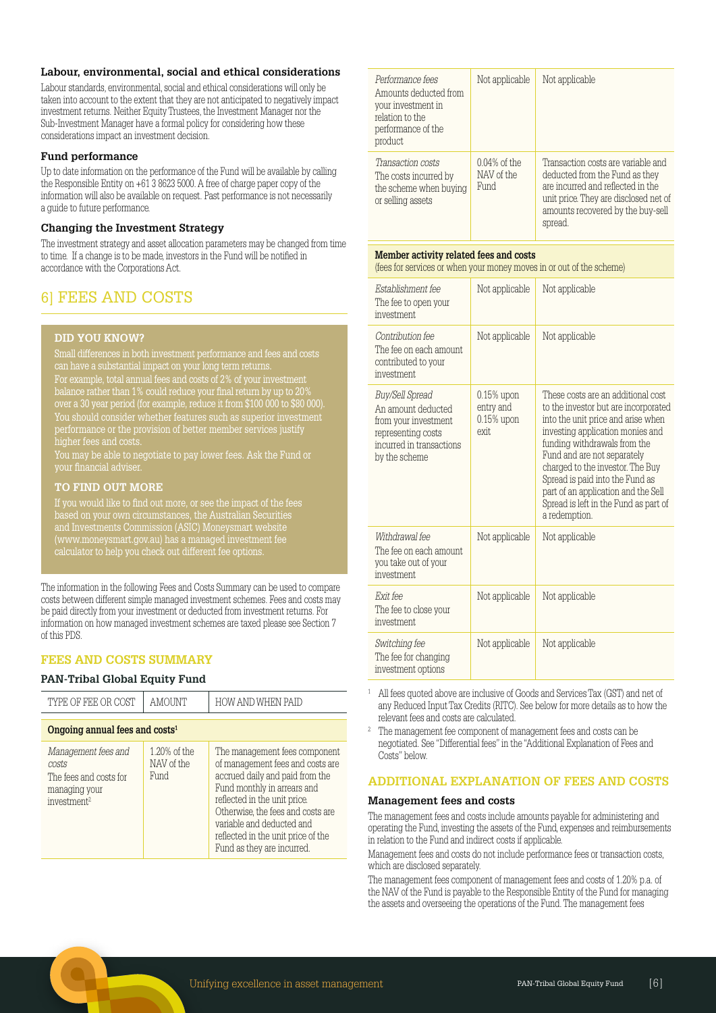#### **Labour, environmental, social and ethical considerations**

Labour standards, environmental, social and ethical considerations will only be taken into account to the extent that they are not anticipated to negatively impact investment returns. Neither Equity Trustees, the Investment Manager nor the Sub-Investment Manager have a formal policy for considering how these considerations impact an investment decision.

#### **Fund performance**

Up to date information on the performance of the Fund will be available by calling the Responsible Entity on +61 3 8623 5000. A free of charge paper copy of the information will also be available on request. Past performance is not necessarily a guide to future performance.

#### **Changing the Investment Strategy**

The investment strategy and asset allocation parameters may be changed from time to time. If a change is to be made, investors in the Fund will be notified in accordance with the Corporations Act.

# 6] FEES AND COSTS

#### **DID YOU KNOW?**

For example, total annual fees and costs of 2% of your investment balance rather than 1% could reduce your final return by up to 20% over a 30 year period (for example, reduce it from \$100 000 to \$80 000). You should consider whether features such as superior investment performance or the provision of better member services justify .<br>higher fees and costs.

You may be able to negotiate to pay lower fees. Ask the Fund or

#### **TO FIND OUT MORE**

If you would like to find out more, or see the impact of the fees and Investments Commission (ASIC) Moneysmart website (www.moneysmart.gov.au) has a managed investment fee calculator to help you check out different fee options.

The information in the following Fees and Costs Summary can be used to compare costs between different simple managed investment schemes. Fees and costs may be paid directly from your investment or deducted from investment returns. For information on how managed investment schemes are taxed please see Section 7 of this PDS.

#### **FEES AND COSTS SUMMARY**

#### **PAN-Tribal Global Equity Fund**

| TYPE OF FEE OR COST                                                                                | AMOUNT                             | HOW AND WHEN PAID                                                                                                                                                                                                                                                                                         |  |
|----------------------------------------------------------------------------------------------------|------------------------------------|-----------------------------------------------------------------------------------------------------------------------------------------------------------------------------------------------------------------------------------------------------------------------------------------------------------|--|
| Ongoing annual fees and $costs1$                                                                   |                                    |                                                                                                                                                                                                                                                                                                           |  |
| Management fees and<br>costs<br>The fees and costs for<br>managing your<br>investment <sup>2</sup> | 1.20% of the<br>NAV of the<br>Fund | The management fees component<br>of management fees and costs are<br>accrued daily and paid from the<br>Fund monthly in arrears and<br>reflected in the unit price.<br>Otherwise, the fees and costs are<br>variable and deducted and<br>reflected in the unit price of the<br>Fund as they are incurred. |  |

| Performance fees<br>Amounts deducted from<br>your investment in<br>relation to the<br>performance of the<br>product | Not applicable                        | Not applicable                                                                                                                                                                                     |
|---------------------------------------------------------------------------------------------------------------------|---------------------------------------|----------------------------------------------------------------------------------------------------------------------------------------------------------------------------------------------------|
| Transaction costs<br>The costs incurred by<br>the scheme when buying<br>or selling assets                           | $0.04\%$ of the<br>NAV of the<br>Fund | Transaction costs are variable and<br>deducted from the Fund as they<br>are incurred and reflected in the<br>unit price. They are disclosed net of<br>amounts recovered by the buy-sell<br>spread. |

#### **Member activity related fees and costs**

(fees for services or when your money moves in or out of the scheme)

| Establishment fee<br>The fee to open your<br><i>investment</i>                                                                   | Not applicable                                       | Not applicable                                                                                                                                                                                                                                                                                                                                                                              |
|----------------------------------------------------------------------------------------------------------------------------------|------------------------------------------------------|---------------------------------------------------------------------------------------------------------------------------------------------------------------------------------------------------------------------------------------------------------------------------------------------------------------------------------------------------------------------------------------------|
| Contribution fee<br>The fee on each amount<br>contributed to your<br>investment                                                  | Not applicable                                       | Not applicable                                                                                                                                                                                                                                                                                                                                                                              |
| Buy/Sell Spread<br>An amount deducted<br>from your investment<br>representing costs<br>incurred in transactions<br>by the scheme | $0.15\%$ upon<br>entry and<br>$0.15\%$ upon<br>exit. | These costs are an additional cost<br>to the investor but are incorporated<br>into the unit price and arise when<br>investing application monies and<br>funding withdrawals from the<br>Fund and are not separately<br>charged to the investor. The Buy<br>Spread is paid into the Fund as<br>part of an application and the Sell<br>Spread is left in the Fund as part of<br>a redemption. |
| Withdrawal fee<br>The fee on each amount<br>you take out of your<br>investment                                                   | Not applicable                                       | Not applicable                                                                                                                                                                                                                                                                                                                                                                              |
| <i>Exit fee</i><br>The fee to close your<br>investment                                                                           | Not applicable                                       | Not applicable                                                                                                                                                                                                                                                                                                                                                                              |
| Switching fee<br>The fee for changing<br>investment options                                                                      | Not applicable                                       | Not applicable                                                                                                                                                                                                                                                                                                                                                                              |

<sup>1</sup>All fees quoted above are inclusive of Goods and Services Tax (GST) and net of any Reduced Input Tax Credits (RITC). See below for more details as to how the relevant fees and costs are calculated.

<sup>2</sup> The management fee component of management fees and costs can be negotiated. See "Differential fees" in the "Additional Explanation of Fees and Costs" below.

#### **ADDITIONAL EXPLANATION OF FEES AND COSTS**

#### **Management fees and costs**

The management fees and costs include amounts payable for administering and operating the Fund, investing the assets of the Fund, expenses and reimbursements in relation to the Fund and indirect costs if applicable.

Management fees and costs do not include performance fees or transaction costs, which are disclosed separately.

The management fees component of management fees and costs of 1.20% p.a. of the NAV of the Fund is payable to the Responsible Entity of the Fund for managing the assets and overseeing the operations of the Fund. The management fees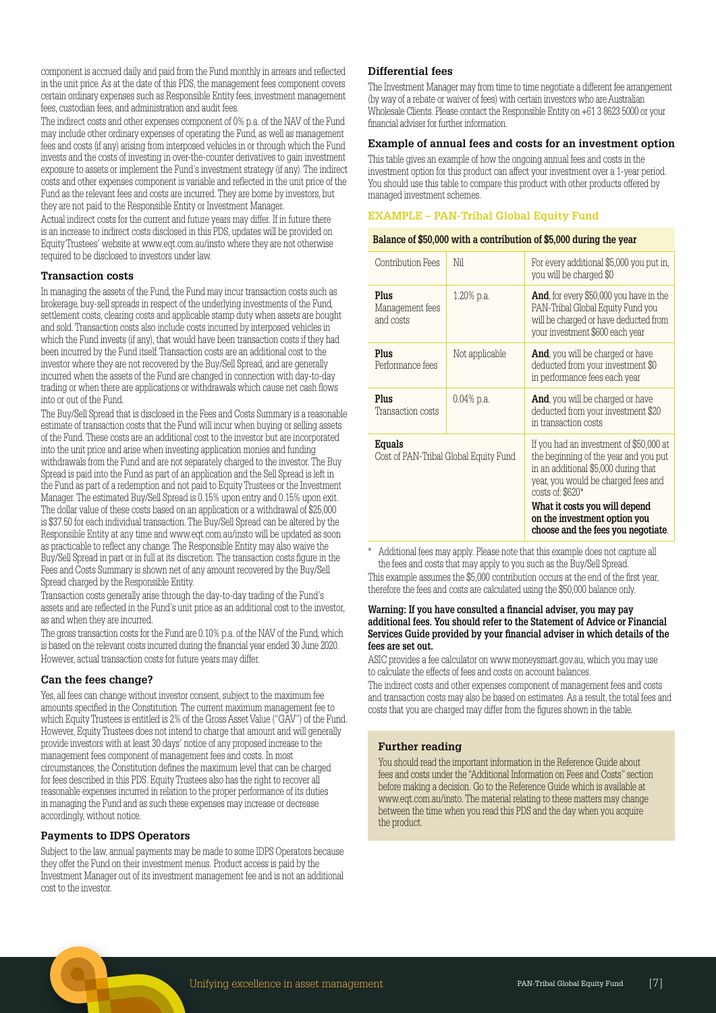component is accrued daily and paid from the Fund monthly in arrears and reflected in the unit price. As at the date of this PDS, the management fees component covers certain ordinary expenses such as Responsible Entity fees, investment management fees, custodian fees, and administration and audit fees.

The indirect costs and other expenses component of 0% p.a. of the NAV of the Fund may include other ordinary expenses of operating the Fund, as well as management fees and costs (if any) arising from interposed vehicles in or through which the Fund invests and the costs of investing in over-the-counter derivatives to gain investment exposure to assets or implement the Fund's investment strategy (if any). The indirect costs and other expenses component is variable and reflected in the unit price of the Fund as the relevant fees and costs are incurred. They are borne by investors, but they are not paid to the Responsible Entity or Investment Manager.

Actual indirect costs for the current and future years may differ. If in future there is an increase to indirect costs disclosed in this PDS, updates will be provided on Equity Trustees' website at www.eqt.com.au/insto where they are not otherwise required to be disclosed to investors under law.

#### **Transaction costs**

In managing the assets of the Fund, the Fund may incur transaction costs such as brokerage, buy-sell spreads in respect of the underlying investments of the Fund, settlement costs, clearing costs and applicable stamp duty when assets are bought and sold. Transaction costs also include costs incurred by interposed vehicles in which the Fund invests (if any), that would have been transaction costs if they had been incurred by the Fund itself. Transaction costs are an additional cost to the investor where they are not recovered by the Buy/Sell Spread, and are generally incurred when the assets of the Fund are changed in connection with day-to-day trading or when there are applications or withdrawals which cause net cash flows into or out of the Fund.

The Buy/Sell Spread that is disclosed in the Fees and Costs Summary is a reasonable estimate of transaction costs that the Fund will incur when buying or selling assets of the Fund. These costs are an additional cost to the investor but are incorporated into the unit price and arise when investing application monies and funding withdrawals from the Fund and are not separately charged to the investor. The Buy Spread is paid into the Fund as part of an application and the Sell Spread is left in the Fund as part of a redemption and not paid to Equity Trustees or the Investment Manager. The estimated Buy/Sell Spread is 0.15% upon entry and 0.15% upon exit. The dollar value of these costs based on an application or a withdrawal of \$25,000 is \$37.50 for each individual transaction. The Buy/Sell Spread can be altered by the Responsible Entity at any time and www.eqt.com.au/insto will be updated as soon as practicable to reflect any change. The Responsible Entity may also waive the Buy/Sell Spread in part or in full at its discretion. The transaction costs figure in the Fees and Costs Summary is shown net of any amount recovered by the Buy/Sell Spread charged by the Responsible Entity.

Transaction costs generally arise through the day-to-day trading of the Fund's assets and are reflected in the Fund's unit price as an additional cost to the investor, as and when they are incurred.

The gross transaction costs for the Fund are 0.10% p.a. of the NAV of the Fund, which is based on the relevant costs incurred during the financial year ended 30 June 2020. However, actual transaction costs for future years may differ.

#### **Can the fees change?**

Yes, all fees can change without investor consent, subject to the maximum fee amounts specified in the Constitution. The current maximum management fee to which Equity Trustees is entitled is 2% of the Gross Asset Value ("GAV") of the Fund. However, Equity Trustees does not intend to charge that amount and will generally provide investors with at least 30 days' notice of any proposed increase to the management fees component of management fees and costs. In most circumstances, the Constitution defines the maximum level that can be charged for fees described in this PDS. Equity Trustees also has the right to recover all reasonable expenses incurred in relation to the proper performance of its duties in managing the Fund and as such these expenses may increase or decrease accordingly, without notice.

#### **Payments to IDPS Operators**

Subject to the law, annual payments may be made to some IDPS Operators because they offer the Fund on their investment menus. Product access is paid by the Investment Manager out of its investment management fee and is not an additional cost to the investor.

#### **Differential fees**

The Investment Manager may from time to time negotiate a different fee arrangement (by way of a rebate or waiver of fees) with certain investors who are Australian Wholesale Clients. Please contact the Responsible Entity on +61 3 8623 5000 or your financial adviser for further information.

#### **Example of annual fees and costs for an investment option**

This table gives an example of how the ongoing annual fees and costs in the investment option for this product can affect your investment over a 1-year period. You should use this table to compare this product with other products offered by managed investment schemes.

#### **EXAMPLE – PAN-Tribal Global Equity Fund**

#### **Balance of \$50,000 with a contribution of \$5,000 during the year**

| Contribution Fees                               | Nil            | For every additional \$5,000 you put in.<br>you will be charged \$0                                                                                                                                                                                                                           |
|-------------------------------------------------|----------------|-----------------------------------------------------------------------------------------------------------------------------------------------------------------------------------------------------------------------------------------------------------------------------------------------|
| Plus<br>Management fees<br>and costs            | 1.20% p.a.     | And, for every \$50,000 you have in the<br>PAN-Tribal Global Equity Fund you<br>will be charged or have deducted from<br>your investment \$600 each year                                                                                                                                      |
| Plus<br>Performance fees                        | Not applicable | <b>And</b> , you will be charged or have<br>deducted from your investment \$0<br>in performance fees each year                                                                                                                                                                                |
| Plus<br>Transaction costs                       | $0.04\%$ p.a.  | <b>And</b> , you will be charged or have<br>deducted from your investment \$20<br>in transaction costs                                                                                                                                                                                        |
| Equals<br>Cost of PAN-Tribal Global Equity Fund |                | If you had an investment of \$50,000 at<br>the beginning of the year and you put<br>in an additional \$5,000 during that<br>year, you would be charged fees and<br>$costs$ of: $$620*$<br>What it costs you will depend<br>on the investment option you<br>choose and the fees you negotiate. |

Additional fees may apply. Please note that this example does not capture all the fees and costs that may apply to you such as the Buy/Sell Spread.

This example assumes the \$5,000 contribution occurs at the end of the first year, therefore the fees and costs are calculated using the \$50,000 balance only.

#### **Warning: If you have consulted a financial adviser, you may pay additional fees. You should refer to the Statement of Advice or Financial Services Guide provided by your financial adviser in which details of the fees are set out.**

ASIC provides a fee calculator on www.moneysmart.gov.au, which you may use to calculate the effects of fees and costs on account balances.

The indirect costs and other expenses component of management fees and costs and transaction costs may also be based on estimates. As a result, the total fees and costs that you are charged may differ from the figures shown in the table.

#### **Further reading**

You should read the important information in the Reference Guide about fees and costs under the "Additional Information on Fees and Costs" section before making a decision. Go to the Reference Guide which is available at www.eqt.com.au/insto. The material relating to these matters may change between the time when you read this PDS and the day when you acquire the product.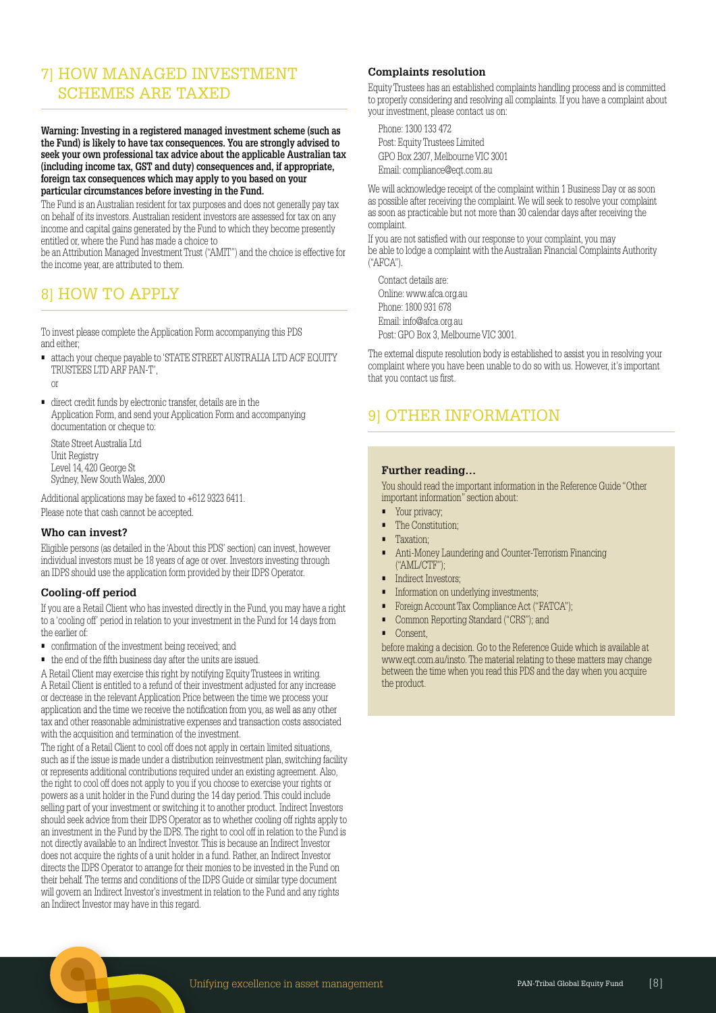# 7] HOW MANAGED INVESTMENT SCHEMES ARE TAXED

**Warning: Investing in a registered managed investment scheme (such as the Fund) is likely to have tax consequences. You are strongly advised to seek your own professional tax advice about the applicable Australian tax (including income tax, GST and duty) consequences and, if appropriate, foreign tax consequences which may apply to you based on your particular circumstances before investing in the Fund.** 

The Fund is an Australian resident for tax purposes and does not generally pay tax on behalf of its investors. Australian resident investors are assessed for tax on any income and capital gains generated by the Fund to which they become presently entitled or, where the Fund has made a choice to

be an Attribution Managed Investment Trust ("AMIT") and the choice is effective for the income year, are attributed to them.

# 8] HOW TO APPLY

To invest please complete the Application Form accompanying this PDS and either;

• attach your cheque payable to 'STATE STREET AUSTRALIA LTD ACF EQUITY TRUSTEES LTD ARF PAN-T',

or

• direct credit funds by electronic transfer, details are in the Application Form, and send your Application Form and accompanying documentation or cheque to:

State Street Australia Ltd Unit Registry Level 14, 420 George St Sydney, New South Wales, 2000

Additional applications may be faxed to +612 9323 6411. Please note that cash cannot be accepted.

#### **Who can invest?**

Eligible persons (as detailed in the 'About this PDS' section) can invest, however individual investors must be 18 years of age or over. Investors investing through an IDPS should use the application form provided by their IDPS Operator.

#### **Cooling-off period**

If you are a Retail Client who has invested directly in the Fund, you may have a right to a 'cooling off' period in relation to your investment in the Fund for 14 days from the earlier of:

- confirmation of the investment being received; and
- the end of the fifth business day after the units are issued.

A Retail Client may exercise this right by notifying Equity Trustees in writing. A Retail Client is entitled to a refund of their investment adjusted for any increase or decrease in the relevant Application Price between the time we process your application and the time we receive the notification from you, as well as any other tax and other reasonable administrative expenses and transaction costs associated with the acquisition and termination of the investment.

The right of a Retail Client to cool off does not apply in certain limited situations, such as if the issue is made under a distribution reinvestment plan, switching facility or represents additional contributions required under an existing agreement. Also, the right to cool off does not apply to you if you choose to exercise your rights or powers as a unit holder in the Fund during the 14 day period. This could include selling part of your investment or switching it to another product. Indirect Investors should seek advice from their IDPS Operator as to whether cooling off rights apply to an investment in the Fund by the IDPS. The right to cool off in relation to the Fund is not directly available to an Indirect Investor. This is because an Indirect Investor does not acquire the rights of a unit holder in a fund. Rather, an Indirect Investor directs the IDPS Operator to arrange for their monies to be invested in the Fund on their behalf. The terms and conditions of the IDPS Guide or similar type document will govern an Indirect Investor's investment in relation to the Fund and any rights an Indirect Investor may have in this regard.

#### **Complaints resolution**

Equity Trustees has an established complaints handling process and is committed to properly considering and resolving all complaints. If you have a complaint about your investment, please contact us on:

Phone: 1300 133 472 Post: Equity Trustees Limited GPO Box 2307, Melbourne VIC 3001 Email: compliance@eqt.com.au

We will acknowledge receipt of the complaint within 1 Business Day or as soon as possible after receiving the complaint. We will seek to resolve your complaint as soon as practicable but not more than 30 calendar days after receiving the complaint.

If you are not satisfied with our response to your complaint, you may be able to lodge a complaint with the Australian Financial Complaints Authority ("AFCA").

Contact details are: Online: www.afca.org.au Phone: 1800 931 678 Email: info@afca.org.au Post: GPO Box 3, Melbourne VIC 3001.

The external dispute resolution body is established to assist you in resolving your complaint where you have been unable to do so with us. However, it's important that you contact us first.

# 9] OTHER INFORMATION

#### **Further reading…**

You should read the important information in the Reference Guide "Other important information" section about:

- Your privacy;
- The Constitution;
- Taxation;
- Anti-Money Laundering and Counter-Terrorism Financing ("AML/CTF");
- Indirect Investors;
- Information on underlying investments;
- Foreign Account Tax Compliance Act ("FATCA");
- Common Reporting Standard ("CRS"); and
- Consent,

before making a decision. Go to the Reference Guide which is available at www.eqt.com.au/insto. The material relating to these matters may change between the time when you read this PDS and the day when you acquire the product.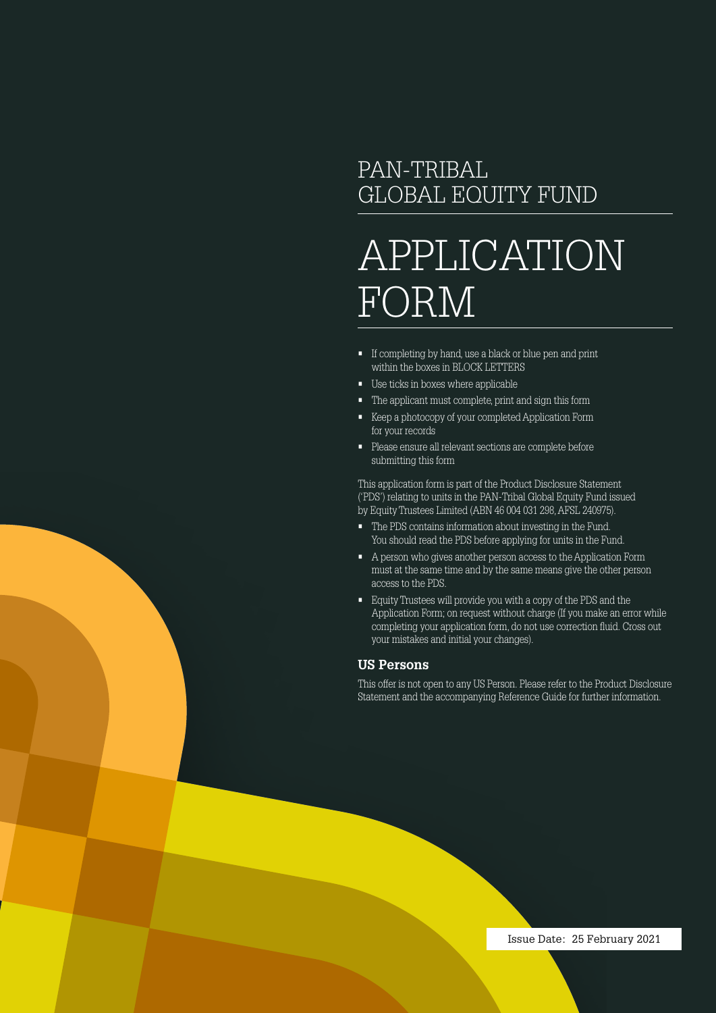# PAN-TRIBAL GLOBAL EQUITY FUND

# APPLICATION FORM

- If completing by hand, use a black or blue pen and print within the boxes in BLOCK LETTERS
- Use ticks in boxes where applicable
- The applicant must complete, print and sign this form
- Keep a photocopy of your completed Application Form for your records
- Please ensure all relevant sections are complete before submitting this form

This application form is part of the Product Disclosure Statement ('PDS') relating to units in the PAN-Tribal Global Equity Fund issued by Equity Trustees Limited (ABN 46 004 031 298, AFSL 240975).

- The PDS contains information about investing in the Fund. You should read the PDS before applying for units in the Fund.
- A person who gives another person access to the Application Form must at the same time and by the same means give the other person access to the PDS.
- Equity Trustees will provide you with a copy of the PDS and the Application Form; on request without charge (If you make an error while completing your application form, do not use correction fluid. Cross out your mistakes and initial your changes).

#### **US Persons**

This offer is not open to any US Person. Please refer to the Product Disclosure Statement and the accompanying Reference Guide for further information.

Issue Date: 25 February 2021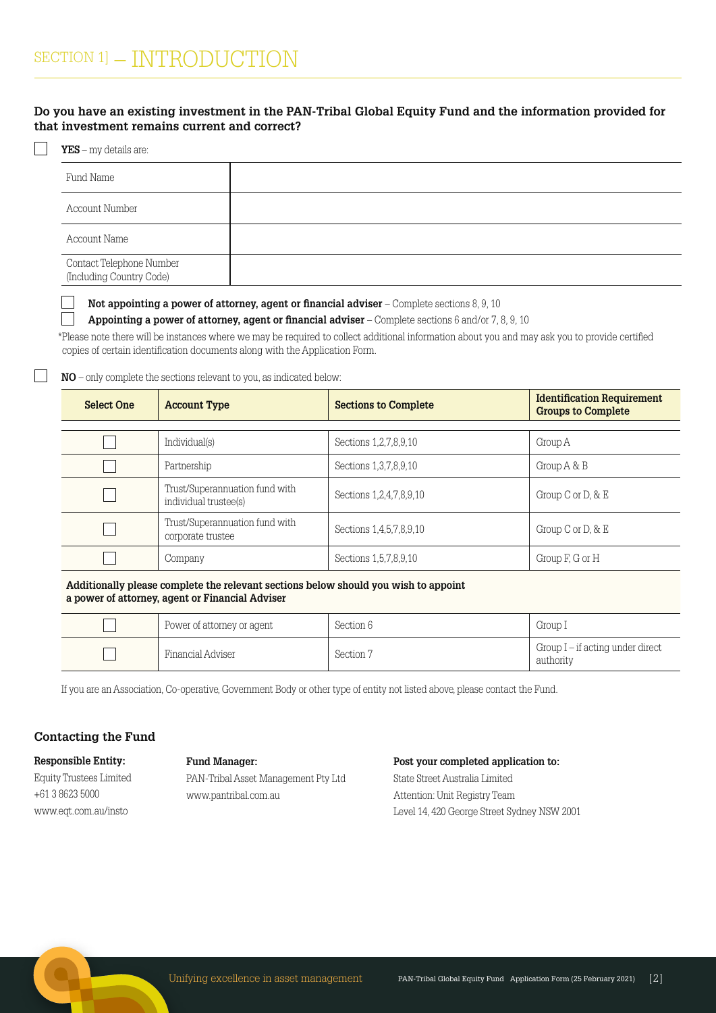#### **Do you have an existing investment in the PAN-Tribal Global Equity Fund and the information provided for that investment remains current and correct?**

#### **YES** – my details are:

| Fund Name                                            |  |
|------------------------------------------------------|--|
| Account Number                                       |  |
| Account Name                                         |  |
| Contact Telephone Number<br>(Including Country Code) |  |

**Not appointing a power of attorney, agent or financial adviser** – Complete sections 8, 9, 10

**Appointing a power of attorney, agent or financial adviser** – Complete sections 6 and/or 7, 8, 9, 10

 \* Please note there will be instances where we may be required to collect additional information about you and may ask you to provide certified copies of certain identification documents along with the Application Form.

**NO** – only complete the sections relevant to you, as indicated below:

| <b>Select One</b> | <b>Account Type</b>                                     | <b>Sections to Complete</b> | <b>Identification Requirement</b><br><b>Groups to Complete</b> |
|-------------------|---------------------------------------------------------|-----------------------------|----------------------------------------------------------------|
|                   |                                                         |                             |                                                                |
|                   | Individual(s)                                           | Sections 1, 2, 7, 8, 9, 10  | Group A                                                        |
|                   | Partnership                                             | Sections 1,3,7,8,9,10       | Group A & B                                                    |
|                   | Trust/Superannuation fund with<br>individual trustee(s) | Sections 1,2,4,7,8,9,10     | Group C or D, $\&$ E                                           |
|                   | Trust/Superannuation fund with<br>corporate trustee     | Sections 1,4,5,7,8,9,10     | Group C or D, $\&$ E                                           |
|                   | Company                                                 | Sections 1,5,7,8,9,10       | Group F, G or H                                                |

**Additionally please complete the relevant sections below should you wish to appoint a power of attorney, agent or Financial Adviser**

| Power of attorney or agent | Section 6 | Group I                                       |
|----------------------------|-----------|-----------------------------------------------|
| Financial Adviser          | Section 7 | Group I – if acting under direct<br>authority |

If you are an Association, Co-operative, Government Body or other type of entity not listed above, please contact the Fund.

#### **Contacting the Fund**

**Responsible Entity:** Equity Trustees Limited +61 3 8623 5000 www.eqt.com.au/insto

#### **Fund Manager:**

PAN-Tribal Asset Management Pty Ltd www.pantribal.com.au

**Post your completed application to:** State Street Australia Limited Attention: Unit Registry Team Level 14, 420 George Street Sydney NSW 2001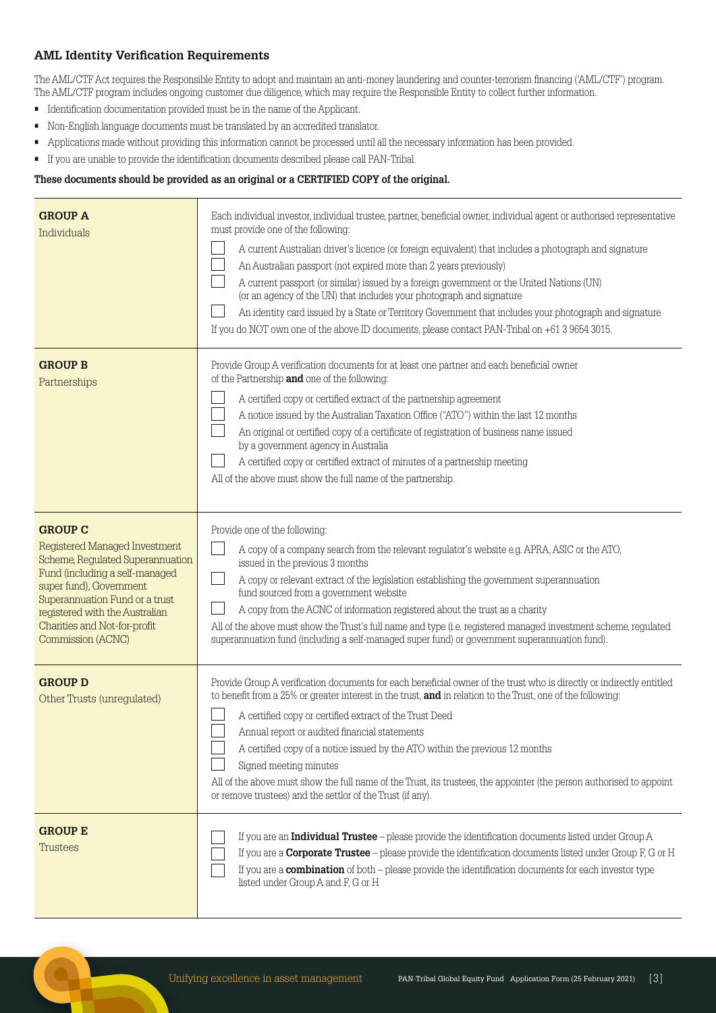#### **AML Identity Verification Requirements**

The AML/CTF Act requires the Responsible Entity to adopt and maintain an anti-money laundering and counter-terrorism financing ('AML/CTF') program. The AML/CTF program includes ongoing customer due diligence, which may require the Responsible Entity to collect further information.

• Identification documentation provided must be in the name of the Applicant.

 $\overline{\phantom{a}}$ 

- Non-English language documents must be translated by an accredited translator.
- Applications made without providing this information cannot be processed until all the necessary information has been provided.
- If you are unable to provide the identification documents described please call PAN-Tribal.

#### **These documents should be provided as an original or a CERTIFIED COPY of the original.**

| <b>GROUP A</b><br>Individuals                                                                                                                                                                                                                                             | Each individual investor, individual trustee, partner, beneficial owner, individual agent or authorised representative<br>must provide one of the following:<br>A current Australian driver's licence (or foreign equivalent) that includes a photograph and signature<br>An Australian passport (not expired more than 2 years previously)<br>A current passport (or similar) issued by a foreign government or the United Nations (UN)<br>(or an agency of the UN) that includes your photograph and signature<br>An identity card issued by a State or Territory Government that includes your photograph and signature<br>If you do NOT own one of the above ID documents, please contact PAN-Tribal on +61 3 9654 3015. |
|---------------------------------------------------------------------------------------------------------------------------------------------------------------------------------------------------------------------------------------------------------------------------|------------------------------------------------------------------------------------------------------------------------------------------------------------------------------------------------------------------------------------------------------------------------------------------------------------------------------------------------------------------------------------------------------------------------------------------------------------------------------------------------------------------------------------------------------------------------------------------------------------------------------------------------------------------------------------------------------------------------------|
| <b>GROUP B</b><br>Partnerships                                                                                                                                                                                                                                            | Provide Group A verification documents for at least one partner and each beneficial owner<br>of the Partnership and one of the following:<br>A certified copy or certified extract of the partnership agreement<br>A notice issued by the Australian Taxation Office ("ATO") within the last 12 months<br>An original or certified copy of a certificate of registration of business name issued<br>by a government agency in Australia<br>A certified copy or certified extract of minutes of a partnership meeting<br>All of the above must show the full name of the partnership.                                                                                                                                         |
| <b>GROUP C</b><br>Registered Managed Investment<br>Scheme, Regulated Superannuation<br>Fund (including a self-managed<br>super fund), Government<br>Superannuation Fund or a trust<br>registered with the Australian<br>Charities and Not-for-profit<br>Commission (ACNC) | Provide one of the following:<br>A copy of a company search from the relevant regulator's website e.g. APRA, ASIC or the ATO,<br>issued in the previous 3 months<br>A copy or relevant extract of the legislation establishing the government superannuation<br>fund sourced from a government website<br>A copy from the ACNC of information registered about the trust as a charity<br>All of the above must show the Trust's full name and type (i.e. registered managed investment scheme, regulated<br>superannuation fund (including a self-managed super fund) or government superannuation fund).                                                                                                                    |
| <b>GROUP D</b><br>Other Trusts (unregulated)                                                                                                                                                                                                                              | Provide Group A verification documents for each beneficial owner of the trust who is directly or indirectly entitled<br>to benefit from a 25% or greater interest in the trust, and in relation to the Trust, one of the following:<br>A certified copy or certified extract of the Trust Deed<br>Annual report or audited financial statements<br>A certified copy of a notice issued by the ATO within the previous 12 months<br>Signed meeting minutes<br>All of the above must show the full name of the Trust, its trustees, the appointer (the person authorised to appoint<br>or remove trustees) and the settlor of the Trust (if any).                                                                              |
| <b>GROUP E</b><br><b>Trustees</b>                                                                                                                                                                                                                                         | If you are an <b>Individual Trustee</b> – please provide the identification documents listed under Group A<br>If you are a <b>Corporate Trustee</b> – please provide the identification documents listed under Group $F$ , G or H<br>If you are a <b>combination</b> of both – please provide the identification documents for each investor type<br>listed under Group A and F, G or H                                                                                                                                                                                                                                                                                                                                      |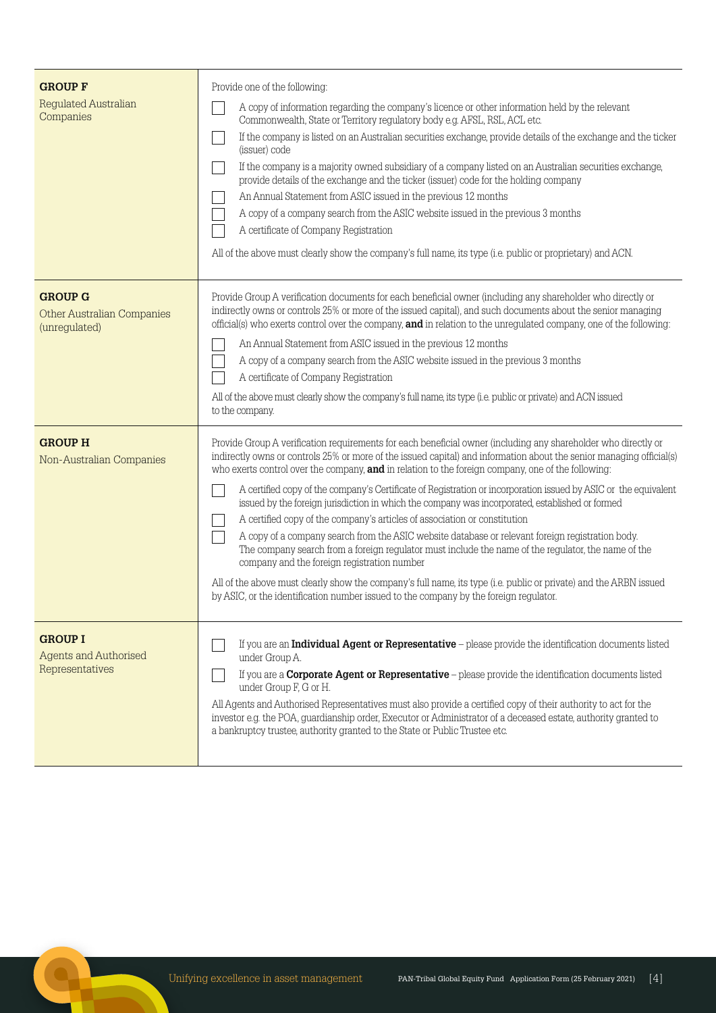| <b>GROUP F</b><br><b>Regulated Australian</b><br>Companies           | Provide one of the following:<br>A copy of information regarding the company's licence or other information held by the relevant<br>Commonwealth, State or Territory regulatory body e.g. AFSL, RSL, ACL etc.<br>If the company is listed on an Australian securities exchange, provide details of the exchange and the ticker<br>(issuer) code<br>If the company is a majority owned subsidiary of a company listed on an Australian securities exchange,<br>provide details of the exchange and the ticker (issuer) code for the holding company<br>An Annual Statement from ASIC issued in the previous 12 months<br>A copy of a company search from the ASIC website issued in the previous 3 months<br>A certificate of Company Registration<br>All of the above must clearly show the company's full name, its type (i.e. public or proprietary) and ACN.                                                                                                                                                                                                                                                         |
|----------------------------------------------------------------------|-------------------------------------------------------------------------------------------------------------------------------------------------------------------------------------------------------------------------------------------------------------------------------------------------------------------------------------------------------------------------------------------------------------------------------------------------------------------------------------------------------------------------------------------------------------------------------------------------------------------------------------------------------------------------------------------------------------------------------------------------------------------------------------------------------------------------------------------------------------------------------------------------------------------------------------------------------------------------------------------------------------------------------------------------------------------------------------------------------------------------|
| <b>GROUP G</b><br><b>Other Australian Companies</b><br>(unregulated) | Provide Group A verification documents for each beneficial owner (including any shareholder who directly or<br>indirectly owns or controls 25% or more of the issued capital), and such documents about the senior managing<br>official(s) who exerts control over the company, and in relation to the unregulated company, one of the following:<br>An Annual Statement from ASIC issued in the previous 12 months<br>A copy of a company search from the ASIC website issued in the previous 3 months<br>A certificate of Company Registration<br>All of the above must clearly show the company's full name, its type (i.e. public or private) and ACN issued<br>to the company.                                                                                                                                                                                                                                                                                                                                                                                                                                     |
| <b>GROUP H</b><br>Non-Australian Companies                           | Provide Group A verification requirements for each beneficial owner (including any shareholder who directly or<br>indirectly owns or controls 25% or more of the issued capital) and information about the senior managing official(s)<br>who exerts control over the company, and in relation to the foreign company, one of the following:<br>A certified copy of the company's Certificate of Registration or incorporation issued by ASIC or the equivalent<br>issued by the foreign jurisdiction in which the company was incorporated, established or formed<br>A certified copy of the company's articles of association or constitution<br>A copy of a company search from the ASIC website database or relevant foreign registration body.<br>The company search from a foreign regulator must include the name of the regulator, the name of the<br>company and the foreign registration number<br>All of the above must clearly show the company's full name, its type (i.e. public or private) and the ARBN issued<br>by ASIC, or the identification number issued to the company by the foreign regulator. |
| <b>GROUP I</b><br><b>Agents and Authorised</b><br>Representatives    | If you are an <b>Individual Agent or Representative</b> - please provide the identification documents listed<br>under Group A.<br>If you are a <b>Corporate Agent or Representative</b> – please provide the identification documents listed<br>under Group F, G or H.<br>All Agents and Authorised Representatives must also provide a certified copy of their authority to act for the<br>investor e.g. the POA, guardianship order, Executor or Administrator of a deceased estate, authority granted to<br>a bankruptcy trustee, authority granted to the State or Public Trustee etc.                                                                                                                                                                                                                                                                                                                                                                                                                                                                                                                              |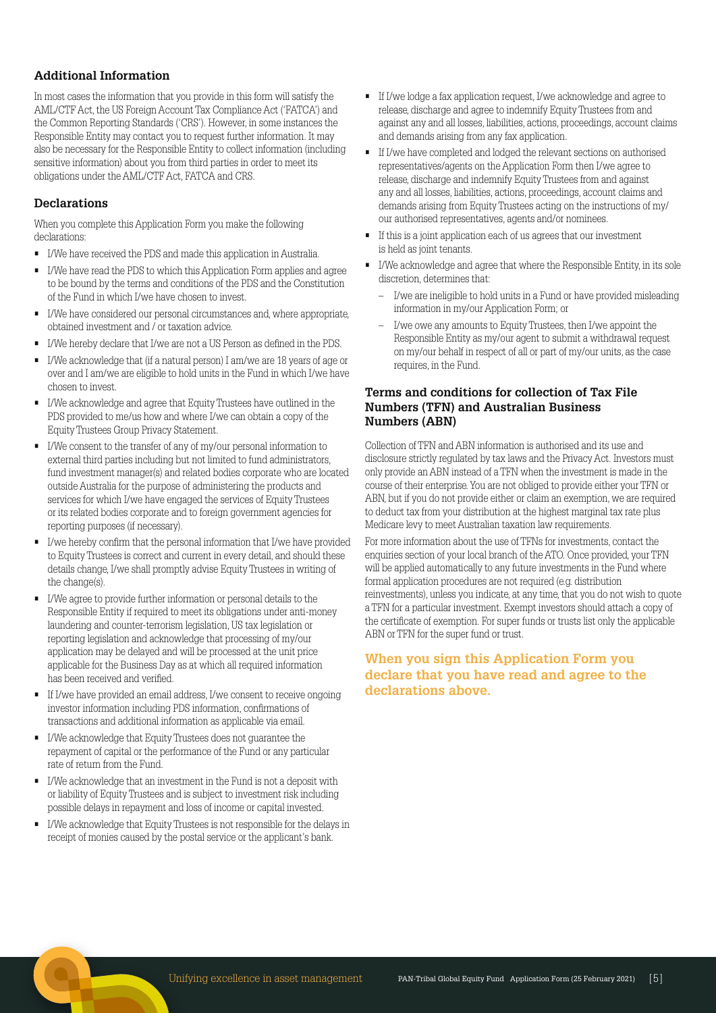#### **Additional Information**

In most cases the information that you provide in this form will satisfy the AML/CTF Act, the US Foreign Account Tax Compliance Act ('FATCA') and the Common Reporting Standards ('CRS'). However, in some instances the Responsible Entity may contact you to request further information. It may also be necessary for the Responsible Entity to collect information (including sensitive information) about you from third parties in order to meet its obligations under the AML/CTF Act, FATCA and CRS.

#### **Declarations**

When you complete this Application Form you make the following declarations:

- I/We have received the PDS and made this application in Australia.
- I/We have read the PDS to which this Application Form applies and agree to be bound by the terms and conditions of the PDS and the Constitution of the Fund in which I/we have chosen to invest.
- I/We have considered our personal circumstances and, where appropriate, obtained investment and / or taxation advice.
- I/We hereby declare that I/we are not a US Person as defined in the PDS.
- I/We acknowledge that (if a natural person) I am/we are 18 years of age or over and I am/we are eligible to hold units in the Fund in which I/we have chosen to invest.
- I/We acknowledge and agree that Equity Trustees have outlined in the PDS provided to me/us how and where I/we can obtain a copy of the Equity Trustees Group Privacy Statement.
- I/We consent to the transfer of any of my/our personal information to external third parties including but not limited to fund administrators, fund investment manager(s) and related bodies corporate who are located outside Australia for the purpose of administering the products and services for which I/we have engaged the services of Equity Trustees or its related bodies corporate and to foreign government agencies for reporting purposes (if necessary).
- I/we hereby confirm that the personal information that I/we have provided to Equity Trustees is correct and current in every detail, and should these details change, I/we shall promptly advise Equity Trustees in writing of the change(s).
- I/We agree to provide further information or personal details to the Responsible Entity if required to meet its obligations under anti-money laundering and counter-terrorism legislation, US tax legislation or reporting legislation and acknowledge that processing of my/our application may be delayed and will be processed at the unit price applicable for the Business Day as at which all required information has been received and verified.
- If I/we have provided an email address, I/we consent to receive ongoing investor information including PDS information, confirmations of transactions and additional information as applicable via email.
- I/We acknowledge that Equity Trustees does not guarantee the repayment of capital or the performance of the Fund or any particular rate of return from the Fund.
- I/We acknowledge that an investment in the Fund is not a deposit with or liability of Equity Trustees and is subject to investment risk including possible delays in repayment and loss of income or capital invested.
- I/We acknowledge that Equity Trustees is not responsible for the delays in receipt of monies caused by the postal service or the applicant's bank.
- If I/we lodge a fax application request, I/we acknowledge and agree to release, discharge and agree to indemnify Equity Trustees from and against any and all losses, liabilities, actions, proceedings, account claims and demands arising from any fax application.
- If I/we have completed and lodged the relevant sections on authorised representatives/agents on the Application Form then I/we agree to release, discharge and indemnify Equity Trustees from and against any and all losses, liabilities, actions, proceedings, account claims and demands arising from Equity Trustees acting on the instructions of my/ our authorised representatives, agents and/or nominees.
- If this is a joint application each of us agrees that our investment is held as joint tenants.
- I/We acknowledge and agree that where the Responsible Entity, in its sole discretion, determines that:
	- I/we are ineligible to hold units in a Fund or have provided misleading information in my/our Application Form; or
	- I/we owe any amounts to Equity Trustees, then I/we appoint the Responsible Entity as my/our agent to submit a withdrawal request on my/our behalf in respect of all or part of my/our units, as the case requires, in the Fund.

#### **Terms and conditions for collection of Tax File Numbers (TFN) and Australian Business Numbers (ABN)**

Collection of TFN and ABN information is authorised and its use and disclosure strictly regulated by tax laws and the Privacy Act. Investors must only provide an ABN instead of a TFN when the investment is made in the course of their enterprise. You are not obliged to provide either your TFN or ABN, but if you do not provide either or claim an exemption, we are required to deduct tax from your distribution at the highest marginal tax rate plus Medicare levy to meet Australian taxation law requirements.

For more information about the use of TFNs for investments, contact the enquiries section of your local branch of the ATO. Once provided, your TFN will be applied automatically to any future investments in the Fund where formal application procedures are not required (e.g. distribution reinvestments), unless you indicate, at any time, that you do not wish to quote a TFN for a particular investment. Exempt investors should attach a copy of the certificate of exemption. For super funds or trusts list only the applicable ABN or TFN for the super fund or trust.

#### **When you sign this Application Form you declare that you have read and agree to the declarations above.**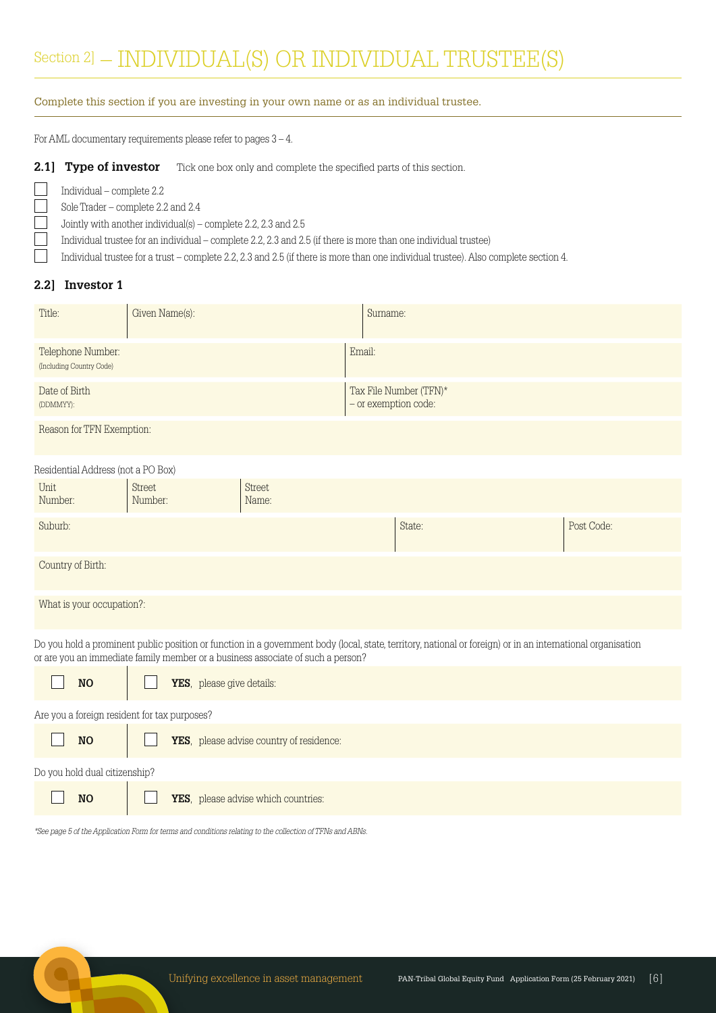# Section 2] - INDIVIDUAL(S) OR INDIVIDUAL TRUSTEE(S)

#### Complete this section if you are investing in your own name or as an individual trustee.

For AML documentary requirements please refer to pages 3 – 4.

#### 2.1] Type of investor Tick one box only and complete the specified parts of this section.

Sole Trader – complete 2.2 and 2.4

Individual – complete 2.2

Jointly with another individual(s) – complete 2.2, 2.3 and 2.5

Individual trustee for an individual – complete 2.2, 2.3 and 2.5 (if there is more than one individual trustee)

Individual trustee for a trust – complete 2.2, 2.3 and 2.5 (if there is more than one individual trustee). Also complete section 4.

#### **2.2] Investor 1**

| Title:                                                                                                                                                                                                                                         | Given Name(s):            |                                     | Surname:             |                        |            |
|------------------------------------------------------------------------------------------------------------------------------------------------------------------------------------------------------------------------------------------------|---------------------------|-------------------------------------|----------------------|------------------------|------------|
| Telephone Number:<br>(Including Country Code)                                                                                                                                                                                                  |                           |                                     | Email:               |                        |            |
| Date of Birth<br>(DDMMYY):                                                                                                                                                                                                                     |                           |                                     | - or exemption code: | Tax File Number (TFN)* |            |
| Reason for TFN Exemption:                                                                                                                                                                                                                      |                           |                                     |                      |                        |            |
| Residential Address (not a PO Box)                                                                                                                                                                                                             |                           |                                     |                      |                        |            |
| Unit<br>Number:                                                                                                                                                                                                                                | Street<br>Number:         | Street<br>Name:                     |                      |                        |            |
| Suburb:                                                                                                                                                                                                                                        |                           |                                     |                      | State:                 | Post Code: |
| Country of Birth:                                                                                                                                                                                                                              |                           |                                     |                      |                        |            |
| What is your occupation?:                                                                                                                                                                                                                      |                           |                                     |                      |                        |            |
| Do you hold a prominent public position or function in a government body (local, state, territory, national or foreign) or in an international organisation<br>or are you an immediate family member or a business associate of such a person? |                           |                                     |                      |                        |            |
| <b>NO</b>                                                                                                                                                                                                                                      | YES, please give details: |                                     |                      |                        |            |
| Are you a foreign resident for tax purposes?                                                                                                                                                                                                   |                           |                                     |                      |                        |            |
| YES, please advise country of residence:<br><b>NO</b>                                                                                                                                                                                          |                           |                                     |                      |                        |            |
| Do you hold dual citizenship?                                                                                                                                                                                                                  |                           |                                     |                      |                        |            |
| <b>NO</b>                                                                                                                                                                                                                                      |                           | YES, please advise which countries: |                      |                        |            |
|                                                                                                                                                                                                                                                |                           |                                     |                      |                        |            |

\*See page 5 of the Application Form for terms and conditions relating to the collection of TFNs and ABNs.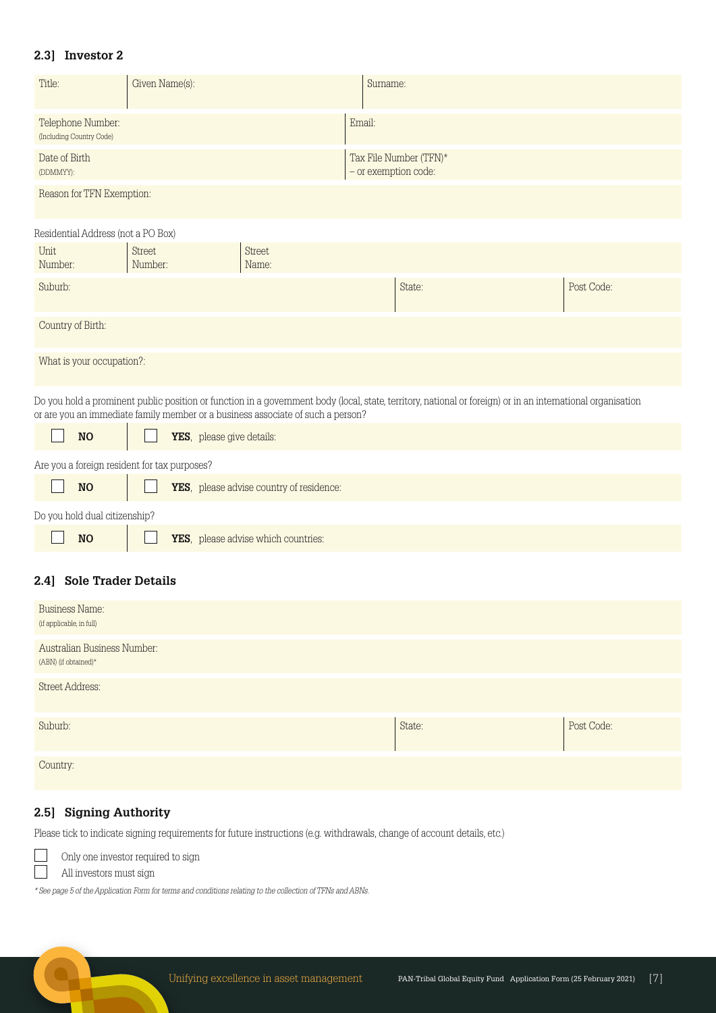### **2.3] Investor 2**

| Title:                                        | Given Name(s): | Sumame:                                        |
|-----------------------------------------------|----------------|------------------------------------------------|
| Telephone Number:<br>(Including Country Code) |                | Email:                                         |
| Date of Birth<br>(DDMMYY):                    |                | Tax File Number (TFN)*<br>- or exemption code: |

Reason for TFN Exemption:

Residential Address (not a PO Box)

| Unit<br>Number:                                                                                                                                                                                                                                | Street<br>Number: | Street<br>Name: |        |            |  |
|------------------------------------------------------------------------------------------------------------------------------------------------------------------------------------------------------------------------------------------------|-------------------|-----------------|--------|------------|--|
| Suburb:                                                                                                                                                                                                                                        |                   |                 | State: | Post Code: |  |
| Country of Birth:                                                                                                                                                                                                                              |                   |                 |        |            |  |
| What is your occupation?:                                                                                                                                                                                                                      |                   |                 |        |            |  |
| Do you hold a prominent public position or function in a government body (local, state, territory, national or foreign) or in an international organisation<br>or are you an immediate family member or a business associate of such a person? |                   |                 |        |            |  |

| <b>NO</b>                                    | YES, please give details:                |
|----------------------------------------------|------------------------------------------|
| Are you a foreign resident for tax purposes? |                                          |
| N <sub>O</sub>                               | YES, please advise country of residence: |
| Do you hold dual citizenship?                |                                          |
| N <sub>O</sub>                               | YES, please advise which countries:      |

#### **2.4] Sole Trader Details**

| <b>Business Name:</b><br>(if applicable, in full)     |        |            |
|-------------------------------------------------------|--------|------------|
| Australian Business Number:<br>$(ABN)$ (if obtained)* |        |            |
| <b>Street Address:</b>                                |        |            |
| Suburb:                                               | State: | Post Code: |
| Country:                                              |        |            |

## **2.5] Signing Authority**

Please tick to indicate signing requirements for future instructions (e.g. withdrawals, change of account details, etc.)



All investors must sign

\* See page 5 of the Application Form for terms and conditions relating to the collection of TFNs and ABNs.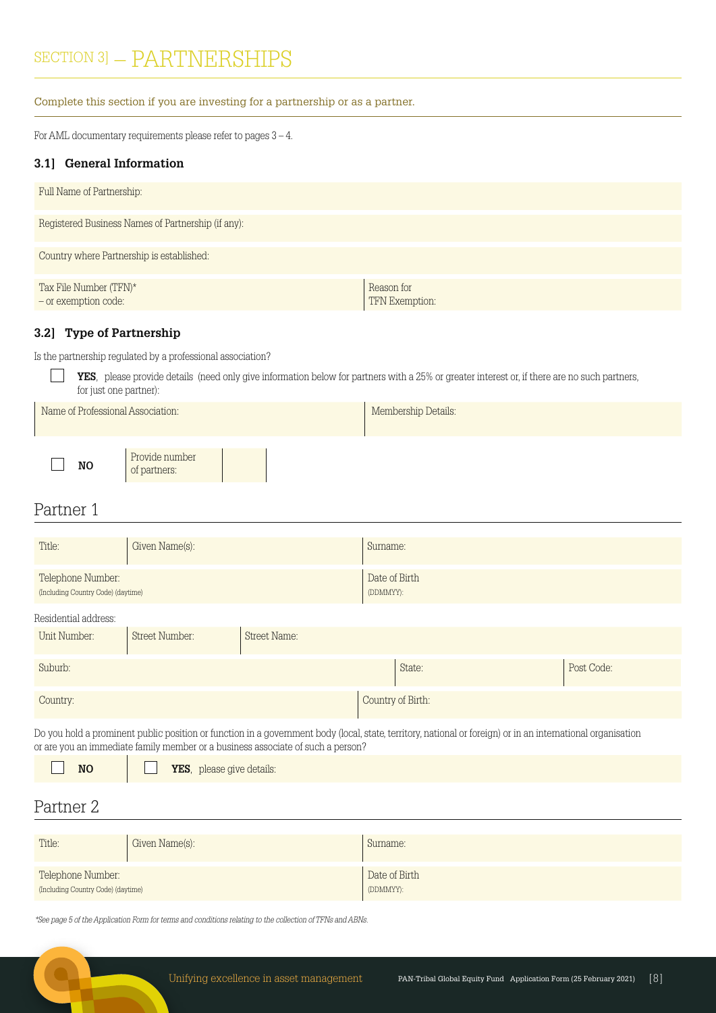# SECTION 3] - PARTNERSHIPS

Complete this section if you are investing for a partnership or as a partner.

For AML documentary requirements please refer to pages 3 – 4.

#### **3.1] General Information**

| Full Name of Partnership:                          |                              |
|----------------------------------------------------|------------------------------|
| Registered Business Names of Partnership (if any): |                              |
| Country where Partnership is established:          |                              |
| Tax File Number (TFN)*<br>- or exemption code:     | Reason for<br>TFN Exemption: |

#### **3.2] Type of Partnership**

Is the partnership regulated by a professional association?

**YES**, please provide details (need only give information below for partners with a 25% or greater interest or, if there are no such partners, for just one partner):

| Name of Professional Association: |                                |  | Membership Details: |  |
|-----------------------------------|--------------------------------|--|---------------------|--|
| NO.                               | Provide number<br>of partners: |  |                     |  |

# Partner 1

| Title:                                                  | Given Name(s):        |              | Sumame:                                                                                                                                                     |            |
|---------------------------------------------------------|-----------------------|--------------|-------------------------------------------------------------------------------------------------------------------------------------------------------------|------------|
| Telephone Number:<br>(Including Country Code) (daytime) |                       |              | Date of Birth<br>(DDMMYY):                                                                                                                                  |            |
| Residential address:                                    |                       |              |                                                                                                                                                             |            |
| Unit Number:                                            | <b>Street Number:</b> | Street Name: |                                                                                                                                                             |            |
| Suburb:                                                 |                       |              | State:                                                                                                                                                      | Post Code: |
| Country:                                                |                       |              | Country of Birth:                                                                                                                                           |            |
|                                                         |                       |              | Do you hold a prominent public position or function in a government body (local, state, territory, national or foreign) or in an international organisation |            |

Do you hold a prominent public position or function in a government body (local, state, territory, national or foreign) or in an international organisation or are you an immediate family member or a business associate of such a person?

**NO YES**, please give details:

# Partner 2

| Title:                             | Given Name(s): | Sumame:       |
|------------------------------------|----------------|---------------|
| Telephone Number:                  |                | Date of Birth |
| (Including Country Code) (daytime) |                | (DDMMYY):     |

\*See page 5 of the Application Form for terms and conditions relating to the collection of TFNs and ABNs.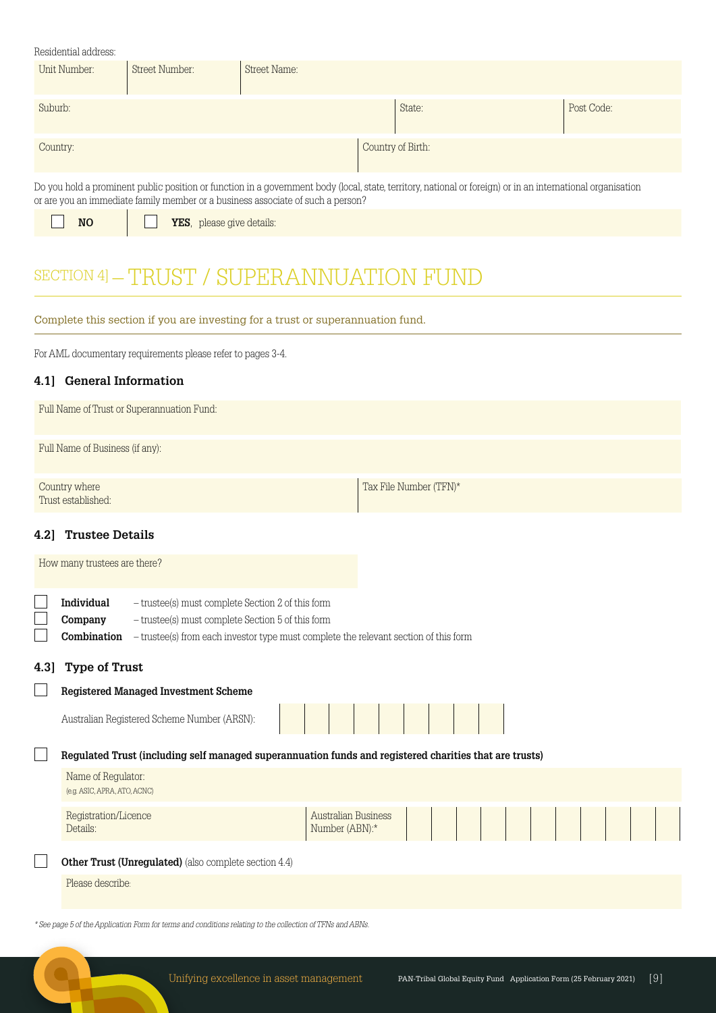| Residential address:          |                |                                                                                 |                                                                                                                                                             |            |  |  |
|-------------------------------|----------------|---------------------------------------------------------------------------------|-------------------------------------------------------------------------------------------------------------------------------------------------------------|------------|--|--|
| Unit Number:                  | Street Number: | Street Name:                                                                    |                                                                                                                                                             |            |  |  |
| Suburb:                       |                |                                                                                 | State:                                                                                                                                                      | Post Code: |  |  |
| Country of Birth:<br>Country: |                |                                                                                 |                                                                                                                                                             |            |  |  |
|                               |                | or are you an immediate family member or a business associate of such a person? | Do you hold a prominent public position or function in a government body (local, state, territory, national or foreign) or in an international organisation |            |  |  |

|  | w |
|--|---|
|  |   |

**NO NO YES**, please give details:

# SECTION 4] - TRUST / SUPERANNUATION FUND

# Complete this section if you are investing for a trust or superannuation fund.

For AML documentary requirements please refer to pages 3-4.

# **4.1] General Information**

| Full Name of Trust or Superannuation Fund: |                        |
|--------------------------------------------|------------------------|
| Full Name of Business (if any):            |                        |
| Country where<br>Trust established:        | Tax File Number (TFN)* |

# **4.2] Trustee Details**

|      | How many trustees are there?                       |                                                                                                                                                                                                |                                              |  |  |  |  |  |
|------|----------------------------------------------------|------------------------------------------------------------------------------------------------------------------------------------------------------------------------------------------------|----------------------------------------------|--|--|--|--|--|
|      | <b>Individual</b><br>Company<br>Combination        | - trustee(s) must complete Section 2 of this form<br>- trustee(s) must complete Section 5 of this form<br>- trustee(s) from each investor type must complete the relevant section of this form |                                              |  |  |  |  |  |
| 4.3] | <b>Type of Trust</b>                               |                                                                                                                                                                                                |                                              |  |  |  |  |  |
|      |                                                    | <b>Registered Managed Investment Scheme</b>                                                                                                                                                    |                                              |  |  |  |  |  |
|      |                                                    | Australian Registered Scheme Number (ARSN):                                                                                                                                                    |                                              |  |  |  |  |  |
|      |                                                    | Regulated Trust (including self managed superannuation funds and registered charities that are trusts)                                                                                         |                                              |  |  |  |  |  |
|      | Name of Regulator:<br>(e.g. ASIC, APRA, ATO, ACNC) |                                                                                                                                                                                                |                                              |  |  |  |  |  |
|      | Registration/Licence<br>Details:                   |                                                                                                                                                                                                | <b>Australian Business</b><br>Number (ABN):* |  |  |  |  |  |
|      |                                                    | Other Trust (Unregulated) (also complete section 4.4)                                                                                                                                          |                                              |  |  |  |  |  |
|      | Please describe:                                   |                                                                                                                                                                                                |                                              |  |  |  |  |  |
|      |                                                    |                                                                                                                                                                                                |                                              |  |  |  |  |  |

\* See page 5 of the Application Form for terms and conditions relating to the collection of TFNs and ABNs.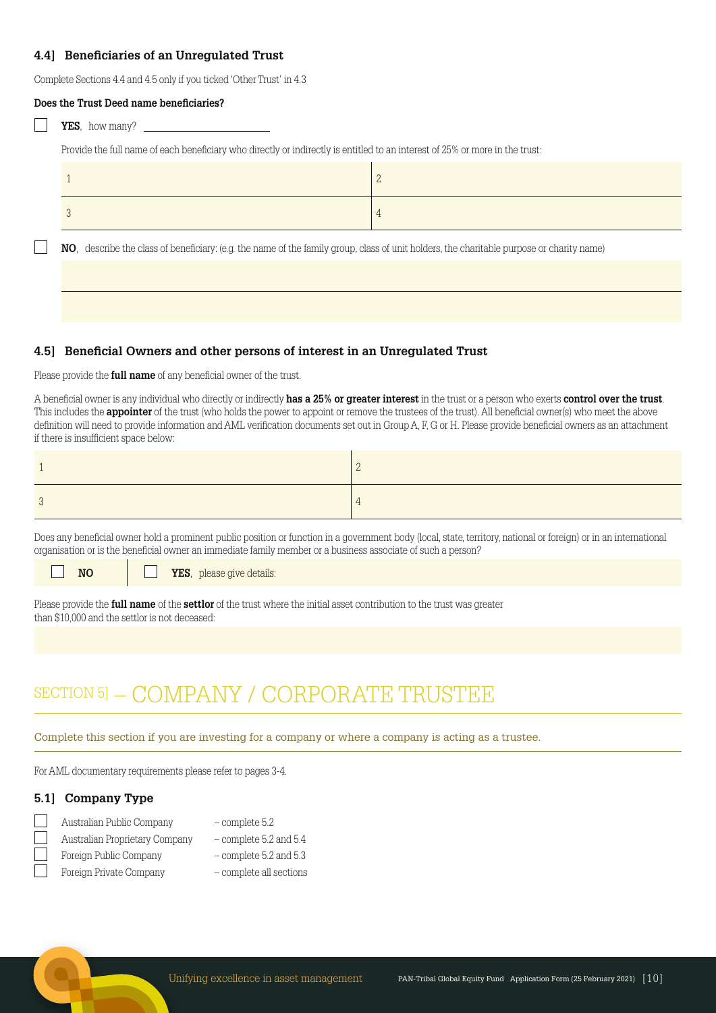#### **4.4] Beneficiaries of an Unregulated Trust**

Complete Sections 4.4 and 4.5 only if you ticked 'Other Trust' in 4.3

| Does the Trust Deed name beneficiaries?                                                                                                   |                |  |  |  |  |  |  |
|-------------------------------------------------------------------------------------------------------------------------------------------|----------------|--|--|--|--|--|--|
| <b>YES</b> , how many?                                                                                                                    |                |  |  |  |  |  |  |
| Provide the full name of each beneficiary who directly or indirectly is entitled to an interest of 25% or more in the trust:              |                |  |  |  |  |  |  |
|                                                                                                                                           | $\overline{2}$ |  |  |  |  |  |  |
|                                                                                                                                           | 4              |  |  |  |  |  |  |
| NO, describe the class of beneficiary: (e.g. the name of the family group, class of unit holders, the charitable purpose or charity name) |                |  |  |  |  |  |  |
|                                                                                                                                           |                |  |  |  |  |  |  |
|                                                                                                                                           |                |  |  |  |  |  |  |

#### **4.5] Beneficial Owners and other persons of interest in an Unregulated Trust**

Please provide the **full name** of any beneficial owner of the trust.

A beneficial owner is any individual who directly or indirectly **has a 25% or greater interest** in the trust or a person who exerts **control over the trust**. This includes the **appointer** of the trust (who holds the power to appoint or remove the trustees of the trust). All beneficial owner(s) who meet the above definition will need to provide information and AML verification documents set out in Group A, F, G or H. Please provide beneficial owners as an attachment if there is insufficient space below:

Does any beneficial owner hold a prominent public position or function in a government body (local, state, territory, national or foreign) or in an international organisation or is the beneficial owner an immediate family member or a business associate of such a person?

**NO YES**, please give details:

Please provide the **full name** of the **settlor** of the trust where the initial asset contribution to the trust was greater than \$10,000 and the settlor is not deceased:

# SECTION 5] - COMPANY / CORPORATE TRUSTEE

Complete this section if you are investing for a company or where a company is acting as a trustee.

For AML documentary requirements please refer to pages 3-4.

#### **5.1] Company Type**

| Australian Public Company      | $-$ complete $5.2$       |
|--------------------------------|--------------------------|
| Australian Proprietary Company | $-$ complete 5.2 and 5.4 |
| Foreign Public Company         | $-$ complete 5.2 and 5.3 |
| Foreign Private Company        | - complete all sections  |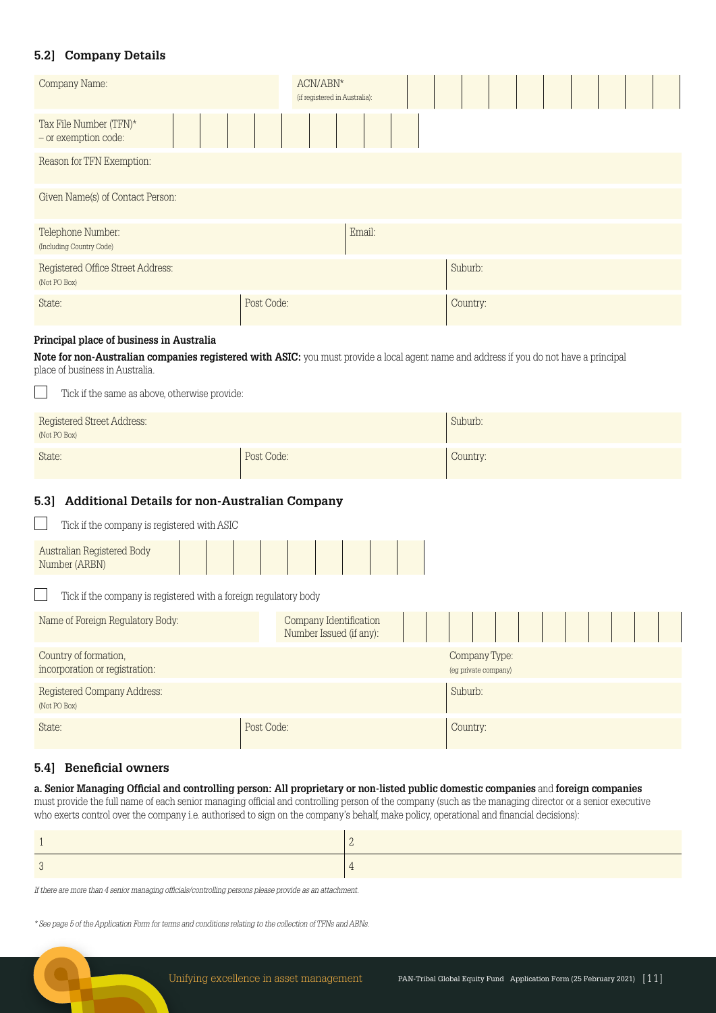## **5.2] Company Details**

| Company Name:                                     | $\text{ACN}/\text{ABN}^\star$<br>(if registered in Australia): |          |  |  |
|---------------------------------------------------|----------------------------------------------------------------|----------|--|--|
| Tax File Number (TFN)*<br>- or exemption code:    |                                                                |          |  |  |
| Reason for TFN Exemption:                         |                                                                |          |  |  |
| Given Name(s) of Contact Person:                  |                                                                |          |  |  |
| Telephone Number:<br>(Including Country Code)     | Email:                                                         |          |  |  |
| Registered Office Street Address:<br>(Not PO Box) |                                                                | Suburb:  |  |  |
| State:                                            | Post Code:                                                     | Country: |  |  |

#### **Principal place of business in Australia**

**Note for non-Australian companies registered with ASIC:** you must provide a local agent name and address if you do not have a principal place of business in Australia.

| Tick if the same as above, otherwise provide:         |            |          |  |  |  |  |
|-------------------------------------------------------|------------|----------|--|--|--|--|
| Suburb:<br>Registered Street Address:<br>(Not PO Box) |            |          |  |  |  |  |
| State:                                                | Post Code: | Country: |  |  |  |  |

#### **5.3] Additional Details for non-Australian Company**

| Tick if the company is registered with ASIC                      |                                                   |                                       |
|------------------------------------------------------------------|---------------------------------------------------|---------------------------------------|
| Australian Registered Body<br>Number (ARBN)                      |                                                   |                                       |
| Tick if the company is registered with a foreign regulatory body |                                                   |                                       |
| Name of Foreign Regulatory Body:                                 | Company Identification<br>Number Issued (if any): |                                       |
| Country of formation,<br>incorporation or registration:          |                                                   | Company Type:<br>(eg private company) |
| Registered Company Address:<br>(Not PO Box)                      |                                                   | Suburb:                               |
| State:                                                           | Post Code:                                        | Country:                              |

#### **5.4] Beneficial owners**

#### **a. Senior Managing Official and controlling person: All proprietary or non-listed public domestic companies** and **foreign companies**

must provide the full name of each senior managing official and controlling person of the company (such as the managing director or a senior executive who exerts control over the company i.e. authorised to sign on the company's behalf, make policy, operational and financial decisions):

If there are more than 4 senior managing officials/controlling persons please provide as an attachment.

\* See page 5 of the Application Form for terms and conditions relating to the collection of TFNs and ABNs.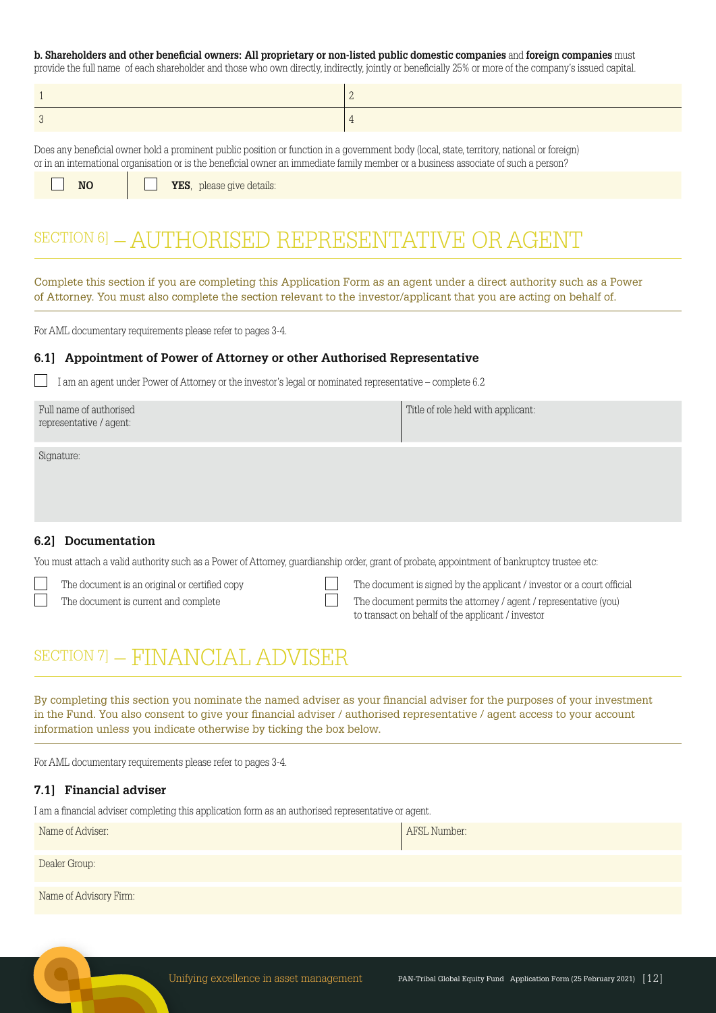#### **b. Shareholders and other beneficial owners: All proprietary or non-listed public domestic companies** and **foreign companies** must

provide the full name of each shareholder and those who own directly, indirectly, jointly or beneficially 25% or more of the company's issued capital.

Does any beneficial owner hold a prominent public position or function in a government body (local, state, territory, national or foreign) or in an international organisation or is the beneficial owner an immediate family member or a business associate of such a person?

**NO YES**, please give details:

# SECTION 6] - AUTHORISED REPRESENTATIVE OR AGENT

Complete this section if you are completing this Application Form as an agent under a direct authority such as a Power of Attorney. You must also complete the section relevant to the investor/applicant that you are acting on behalf of.

For AML documentary requirements please refer to pages 3-4.

#### **6.1] Appointment of Power of Attorney or other Authorised Representative**

I am an agent under Power of Attorney or the investor's legal or nominated representative – complete 6.2

| Full name of authorised | Title of role held with applicant: |
|-------------------------|------------------------------------|
| representative / agent: |                                    |
|                         |                                    |

Signature:

#### **6.2] Documentation**

You must attach a valid authority such as a Power of Attorney, guardianship order, grant of probate, appointment of bankruptcy trustee etc:

- 
- 
- The document is an original or certified copy The document is signed by the applicant / investor or a court official The document is current and complete The document permits the attorney / agent / representative (you) to transact on behalf of the applicant / investor

# SECTION 7] - FINANCIAI, ADVISER

By completing this section you nominate the named adviser as your financial adviser for the purposes of your investment in the Fund. You also consent to give your financial adviser / authorised representative / agent access to your account information unless you indicate otherwise by ticking the box below.

For AML documentary requirements please refer to pages 3-4.

#### **7.1] Financial adviser**

I am a financial adviser completing this application form as an authorised representative or agent.

| Name of Adviser:       | AFSL Number: |
|------------------------|--------------|
| Dealer Group:          |              |
| Name of Advisory Firm: |              |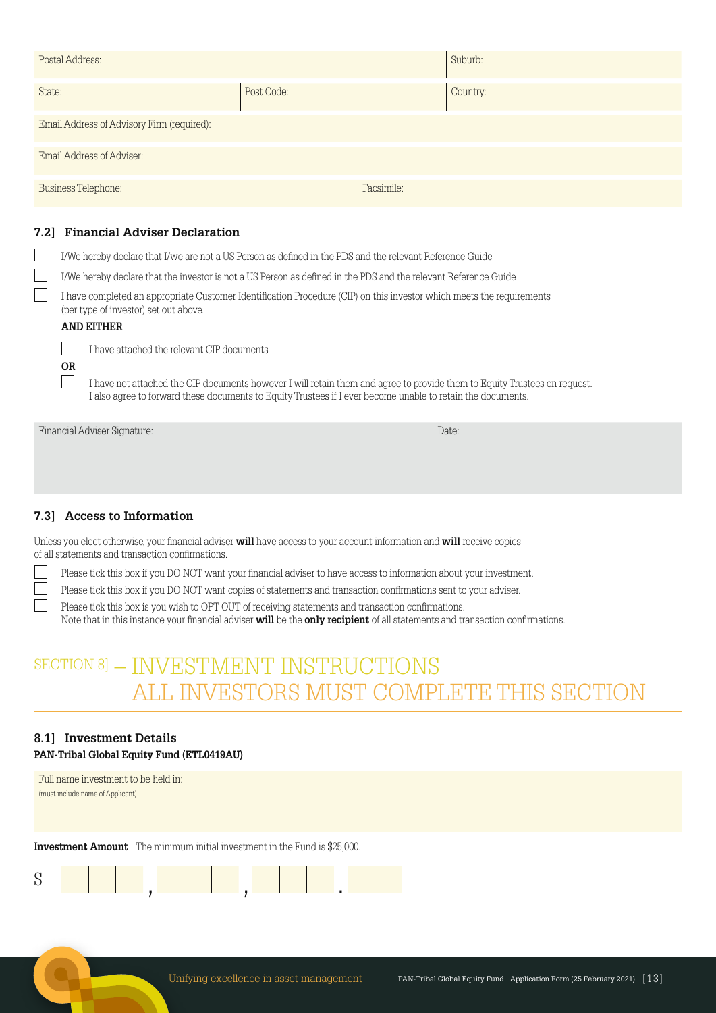| Postal Address:                            |            |            | Suburb:  |
|--------------------------------------------|------------|------------|----------|
| State:                                     | Post Code: |            | Country: |
| Email Address of Advisory Firm (required): |            |            |          |
| Email Address of Adviser:                  |            |            |          |
| <b>Business Telephone:</b>                 |            | Facsimile: |          |

#### **7.2] Financial Adviser Declaration**

I/We hereby declare that I/we are not a US Person as defined in the PDS and the relevant Reference Guide

I/We hereby declare that the investor is not a US Person as defined in the PDS and the relevant Reference Guide

 I have completed an appropriate Customer Identification Procedure (CIP) on this investor which meets the requirements (per type of investor) set out above.

#### **AND EITHER**

 **OR**

I have attached the relevant CIP documents

 I have not attached the CIP documents however I will retain them and agree to provide them to Equity Trustees on request. I also agree to forward these documents to Equity Trustees if I ever become unable to retain the documents.

Financial Adviser Signature: Date:

# **7.3] Access to Information**

Unless you elect otherwise, your financial adviser **will** have access to your account information and **will** receive copies of all statements and transaction confirmations.

Please tick this box if you DO NOT want your financial adviser to have access to information about your investment.

Please tick this box if you DO NOT want copies of statements and transaction confirmations sent to your adviser.

Please tick this box is you wish to OPT OUT of receiving statements and transaction confirmations.

Note that in this instance your financial adviser **will** be the **only recipient** of all statements and transaction confirmations.

# SECTION 8] - INVESTMENT INSTRUCTIONS ALL INVESTORS MUST COMPLETE THIS SECTION

# **8.1] Investment Details**

**PAN-Tribal Global Equity Fund (ETL0419AU)**

Full name investment to be held in: (must include name of Applicant)

**Investment Amount** The minimum initial investment in the Fund is \$25,000.

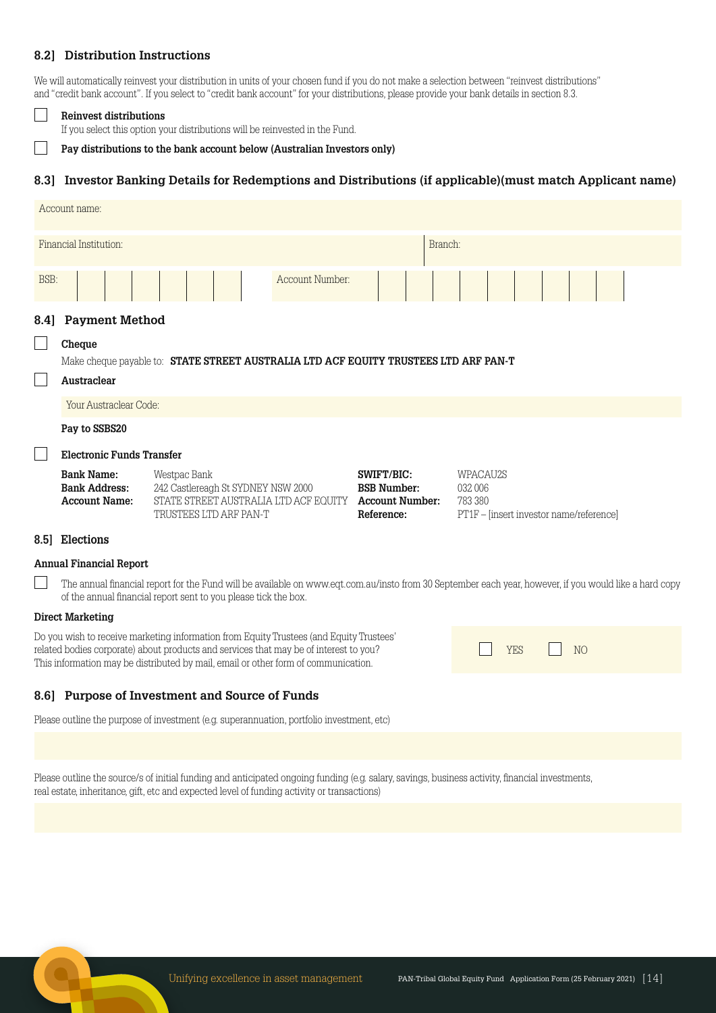#### **8.2] Distribution Instructions**

We will automatically reinvest your distribution in units of your chosen fund if you do not make a selection between "reinvest distributions" and "credit bank account". If you select to "credit bank account" for your distributions, please provide your bank details in section 8.3.

#### **Reinvest distributions**

If you select this option your distributions will be reinvested in the Fund.

#### **Pay distributions to the bank account below (Australian Investors only)**

#### **8.3] Investor Banking Details for Redemptions and Distributions (if applicable)(must match Applicant name)**

|                                   | Account name:                                                                                                 |                                                                                                                       |                 |                                                                          |  |                                                                           |  |  |  |  |
|-----------------------------------|---------------------------------------------------------------------------------------------------------------|-----------------------------------------------------------------------------------------------------------------------|-----------------|--------------------------------------------------------------------------|--|---------------------------------------------------------------------------|--|--|--|--|
| Financial Institution:<br>Branch: |                                                                                                               |                                                                                                                       |                 |                                                                          |  |                                                                           |  |  |  |  |
| BSB:                              |                                                                                                               |                                                                                                                       | Account Number: |                                                                          |  |                                                                           |  |  |  |  |
| 8.4]                              | <b>Payment Method</b>                                                                                         |                                                                                                                       |                 |                                                                          |  |                                                                           |  |  |  |  |
|                                   | Cheque<br>Make cheque payable to: STATE STREET AUSTRALIA LTD ACF EQUITY TRUSTEES LTD ARF PAN-T<br>Austraclear |                                                                                                                       |                 |                                                                          |  |                                                                           |  |  |  |  |
|                                   | Your Austraclear Code:                                                                                        |                                                                                                                       |                 |                                                                          |  |                                                                           |  |  |  |  |
|                                   | Pay to SSBS20                                                                                                 |                                                                                                                       |                 |                                                                          |  |                                                                           |  |  |  |  |
|                                   | <b>Electronic Funds Transfer</b>                                                                              |                                                                                                                       |                 |                                                                          |  |                                                                           |  |  |  |  |
|                                   | <b>Bank Name:</b><br><b>Bank Address:</b><br><b>Account Name:</b>                                             | Westpac Bank<br>242 Castlereagh St SYDNEY NSW 2000<br>STATE STREET AUSTRALIA LTD ACF EQUITY<br>TRUSTEES LTD ARF PAN-T |                 | SWIFT/BIC:<br><b>BSB Number:</b><br><b>Account Number:</b><br>Reference: |  | WPACAU2S<br>032 006<br>783 380<br>PT1F – [insert investor name/reference] |  |  |  |  |

#### **8.5] Elections**

#### **Annual Financial Report**

The annual financial report for the Fund will be available on www.eqt.com.au/insto from 30 September each year, however, if you would like a hard copy of the annual financial report sent to you please tick the box.

#### **Direct Marketing**

Do you wish to receive marketing information from Equity Trustees (and Equity Trustees' related bodies corporate) about products and services that may be of interest to you? This information may be distributed by mail, email or other form of communication.

## **8.6] Purpose of Investment and Source of Funds**

Please outline the purpose of investment (e.g. superannuation, portfolio investment, etc)

|  | $YFS$ $NO$ |  |  |
|--|------------|--|--|
|  |            |  |  |

Please outline the source/s of initial funding and anticipated ongoing funding (e.g. salary, savings, business activity, financial investments, real estate, inheritance, gift, etc and expected level of funding activity or transactions)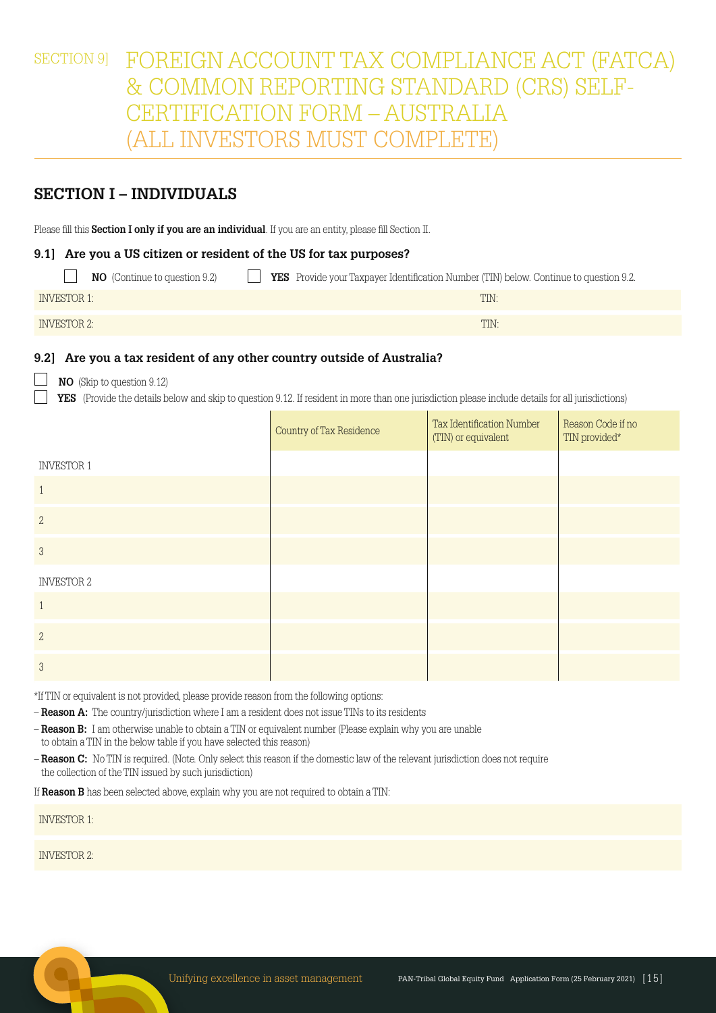SECTION 9] FOREIGN ACCOUNT TAX COMPLIANCE ACT (FATCA) & COMMON REPORTING STANDARD (CRS) SELF-CERTIFICATION FORM – AUSTRALIA (ALL INVESTORS MUST COMPLETE)

# **SECTION I – INDIVIDUALS**

Please fill this **Section I only if you are an individual**. If you are an entity, please fill Section II.

#### **9.1] Are you a US citizen or resident of the US for tax purposes?**

| <b>NO</b> (Continue to question 9.2) | <b>YES</b> Provide your Taxpayer Identification Number (TIN) below. Continue to question 9.2. |
|--------------------------------------|-----------------------------------------------------------------------------------------------|
| <b>INVESTOR 1:</b>                   | TIN:                                                                                          |
| INVESTOR 2:                          | TIN:                                                                                          |

#### **9.2] Are you a tax resident of any other country outside of Australia?**

#### **NO** (Skip to question 9.12)

 **YES** (Provide the details below and skip to question 9.12. If resident in more than one jurisdiction please include details for all jurisdictions)

|                   | Country of Tax Residence | Tax Identification Number<br>(TIN) or equivalent | Reason Code if no<br>TIN provided* |
|-------------------|--------------------------|--------------------------------------------------|------------------------------------|
| <b>INVESTOR 1</b> |                          |                                                  |                                    |
| $\mathbf{1}$      |                          |                                                  |                                    |
| $\mathbf{2}$      |                          |                                                  |                                    |
| $\mathfrak{S}$    |                          |                                                  |                                    |
| <b>INVESTOR 2</b> |                          |                                                  |                                    |
| $\mathbf{1}$      |                          |                                                  |                                    |
| $\mathbf{2}$      |                          |                                                  |                                    |
| $\mathfrak{Z}$    |                          |                                                  |                                    |

\*If TIN or equivalent is not provided, please provide reason from the following options:

– **Reason A:** The country/jurisdiction where I am a resident does not issue TINs to its residents

– **Reason B:** I am otherwise unable to obtain a TIN or equivalent number (Please explain why you are unable to obtain a TIN in the below table if you have selected this reason)

– **Reason C:** No TIN is required. (Note. Only select this reason if the domestic law of the relevant jurisdiction does not require the collection of the TIN issued by such jurisdiction)

If **Reason B** has been selected above, explain why you are not required to obtain a TIN:

INVESTOR 1:

INVESTOR 2: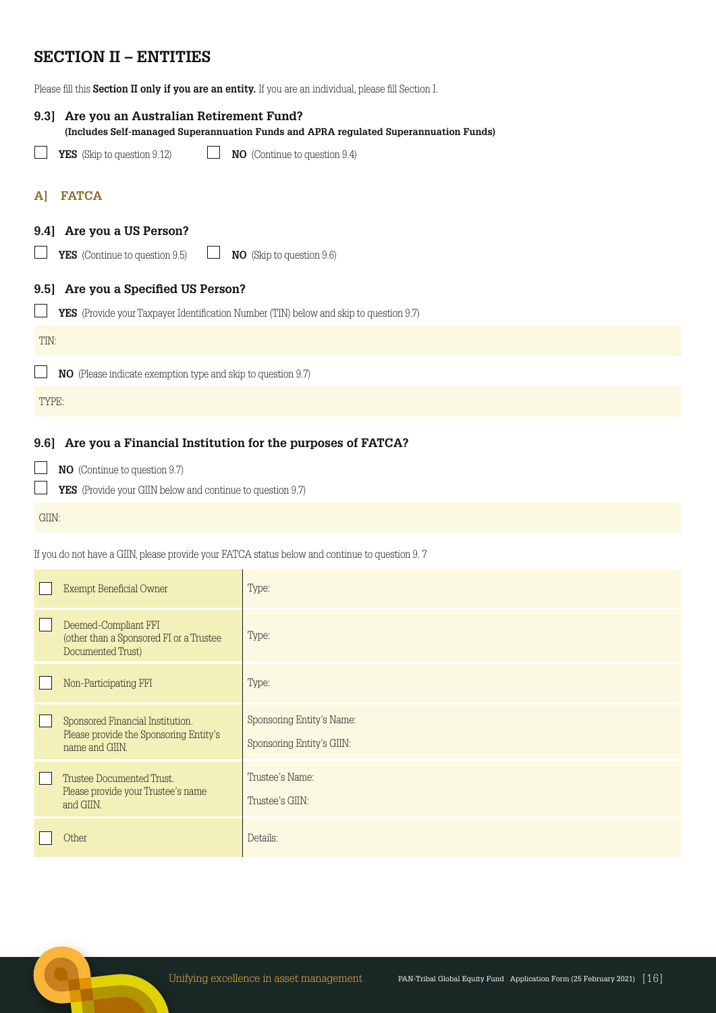# **SECTION II – ENTITIES**

Please fill this **Section II only if you are an entity.** If you are an individual, please fill Section I.

| 9.31  | Are you an Australian Retirement Fund?<br>(Includes Self-managed Superannuation Funds and APRA regulated Superannuation Funds) |                                                                                        |  |  |  |  |
|-------|--------------------------------------------------------------------------------------------------------------------------------|----------------------------------------------------------------------------------------|--|--|--|--|
|       | YES (Skip to question 9.12)                                                                                                    | <b>NO</b> (Continue to question 9.4)                                                   |  |  |  |  |
| A     | <b>FATCA</b>                                                                                                                   |                                                                                        |  |  |  |  |
| 9.41  | Are you a US Person?                                                                                                           |                                                                                        |  |  |  |  |
|       | <b>YES</b> (Continue to question 9.5)                                                                                          | <b>NO</b> (Skip to question 9.6)                                                       |  |  |  |  |
| 9.51  | Are you a Specified US Person?                                                                                                 |                                                                                        |  |  |  |  |
|       |                                                                                                                                | YES (Provide your Taxpayer Identification Number (TIN) below and skip to question 9.7) |  |  |  |  |
| TIN:  |                                                                                                                                |                                                                                        |  |  |  |  |
|       | <b>NO</b> (Please indicate exemption type and skip to question 9.7)                                                            |                                                                                        |  |  |  |  |
| TYPE: |                                                                                                                                |                                                                                        |  |  |  |  |
|       |                                                                                                                                |                                                                                        |  |  |  |  |

# **9.6] Are you a Financial Institution for the purposes of FATCA?**

- **NO** (Continue to question 9.7)
- **YES** (Provide your GIIN below and continue to question 9.7)

GIIN:

If you do not have a GIIN, please provide your FATCA status below and continue to question 9. 7

| <b>Exempt Beneficial Owner</b>                                                               | Type:                                                  |
|----------------------------------------------------------------------------------------------|--------------------------------------------------------|
| Deemed-Compliant FFI<br>(other than a Sponsored FI or a Trustee<br>Documented Trust)         | Type:                                                  |
| Non-Participating FFI                                                                        | Type:                                                  |
| Sponsored Financial Institution.<br>Please provide the Sponsoring Entity's<br>name and GIIN. | Sponsoring Entity's Name:<br>Sponsoring Entity's GIIN: |
| Trustee Documented Trust.<br>Please provide your Trustee's name<br>and GIIN.                 | Trustee's Name:<br>Trustee's GIIN:                     |
| <b>Other</b>                                                                                 | Details:                                               |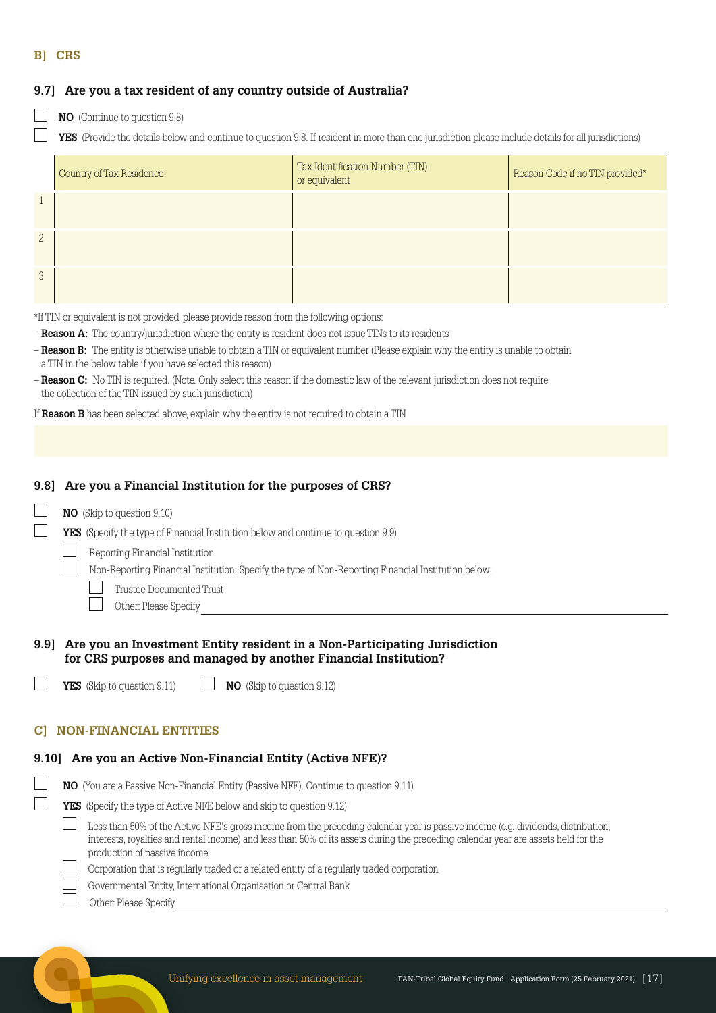#### **B] CRS**

### **9.7] Are you a tax resident of any country outside of Australia?**

- 
- **NO** (Continue to question 9.8)
	- **YES** (Provide the details below and continue to question 9.8. If resident in more than one jurisdiction please include details for all jurisdictions)

|               | Country of Tax Residence | Tax Identification Number (TIN)<br>or equivalent | Reason Code if no TIN provided* |
|---------------|--------------------------|--------------------------------------------------|---------------------------------|
| $\sqrt{1}$    |                          |                                                  |                                 |
| $\mathbf{2}$  |                          |                                                  |                                 |
| $\mathcal{S}$ |                          |                                                  |                                 |

\*If TIN or equivalent is not provided, please provide reason from the following options:

- **Reason A:** The country/jurisdiction where the entity is resident does not issue TINs to its residents
- **Reason B:** The entity is otherwise unable to obtain a TIN or equivalent number (Please explain why the entity is unable to obtain a TIN in the below table if you have selected this reason)
- **Reason C:** No TIN is required. (Note. Only select this reason if the domestic law of the relevant jurisdiction does not require the collection of the TIN issued by such jurisdiction)

If **Reason B** has been selected above, explain why the entity is not required to obtain a TIN

#### **9.8] Are you a Financial Institution for the purposes of CRS?**

**NO** (Skip to question 9.10)

**YES** (Specify the type of Financial Institution below and continue to question 9.9)

Reporting Financial Institution

Non-Reporting Financial Institution. Specify the type of Non-Reporting Financial Institution below:

- Trustee Documented Trust
- Other: Please Specify

#### **9.9] Are you an Investment Entity resident in a Non-Participating Jurisdiction for CRS purposes and managed by another Financial Institution?**

**YES** (Skip to question 9.11) **NO** (Skip to question 9.12)

#### **C] NON-FINANCIAL ENTITIES**

#### **9.10] Are you an Active Non-Financial Entity (Active NFE)?**

- **NO** (You are a Passive Non-Financial Entity (Passive NFE). Continue to question 9.11)
	- **YES** (Specify the type of Active NFE below and skip to question 9.12)
		- Less than 50% of the Active NFE's gross income from the preceding calendar year is passive income (e.g. dividends, distribution, interests, royalties and rental income) and less than 50% of its assets during the preceding calendar year are assets held for the production of passive income
			- Corporation that is regularly traded or a related entity of a regularly traded corporation
			- Governmental Entity, International Organisation or Central Bank
			- Other: Please Specify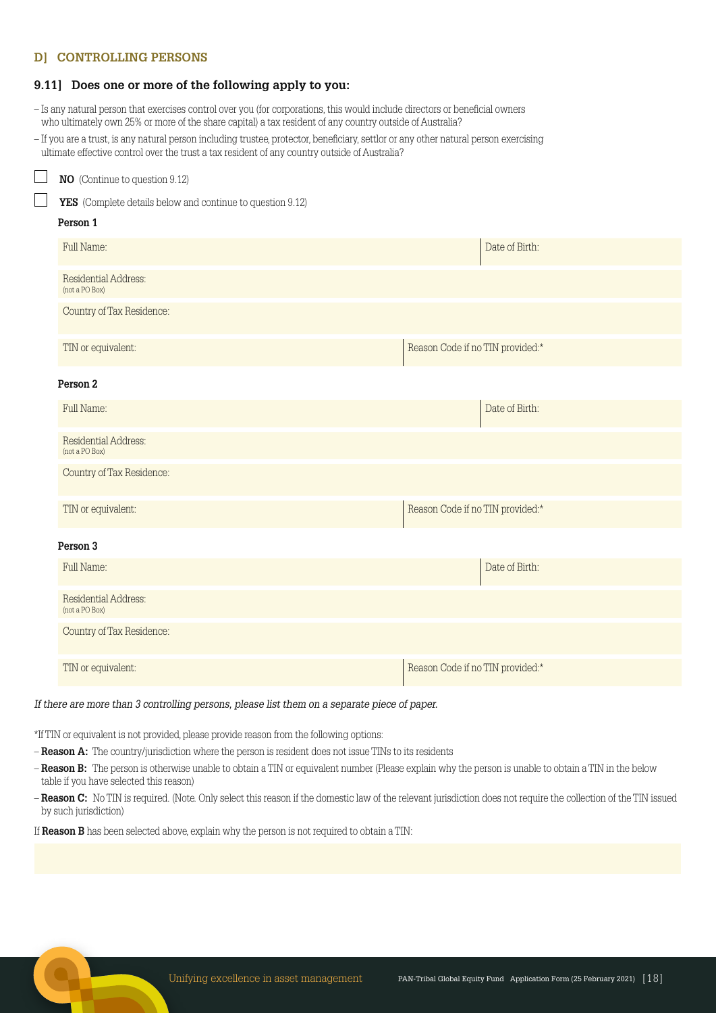#### **D] CONTROLLING PERSONS**

#### **9.11] Does one or more of the following apply to you:**

- Is any natural person that exercises control over you (for corporations, this would include directors or beneficial owners who ultimately own 25% or more of the share capital) a tax resident of any country outside of Australia?
- If you are a trust, is any natural person including trustee, protector, beneficiary, settlor or any other natural person exercising ultimate effective control over the trust a tax resident of any country outside of Australia?

| NO (Continue to question 9.12)                             |                                  |  |  |  |
|------------------------------------------------------------|----------------------------------|--|--|--|
| YES (Complete details below and continue to question 9.12) |                                  |  |  |  |
| Person 1                                                   |                                  |  |  |  |
| Full Name:                                                 | Date of Birth:                   |  |  |  |
| Residential Address:<br>(not a PO Box)                     |                                  |  |  |  |
| Country of Tax Residence:                                  |                                  |  |  |  |
| TIN or equivalent:                                         | Reason Code if no TIN provided:* |  |  |  |
| Person 2                                                   |                                  |  |  |  |
| Full Name:                                                 | Date of Birth:                   |  |  |  |
| Residential Address:<br>(not a PO Box)                     |                                  |  |  |  |
| Country of Tax Residence:                                  |                                  |  |  |  |
| TIN or equivalent:                                         | Reason Code if no TIN provided:* |  |  |  |
| Person 3                                                   |                                  |  |  |  |
| Full Name:                                                 | Date of Birth:                   |  |  |  |
| Residential Address:<br>(not a PO Box)                     |                                  |  |  |  |
| Country of Tax Residence:                                  |                                  |  |  |  |
| TIN or equivalent:                                         | Reason Code if no TIN provided:* |  |  |  |
|                                                            |                                  |  |  |  |

#### If there are more than 3 controlling persons, please list them on a separate piece of paper.

\*If TIN or equivalent is not provided, please provide reason from the following options:

- **Reason A:** The country/jurisdiction where the person is resident does not issue TINs to its residents
- **Reason B:** The person is otherwise unable to obtain a TIN or equivalent number (Please explain why the person is unable to obtain a TIN in the below table if you have selected this reason)
- **Reason C:** No TIN is required. (Note. Only select this reason if the domestic law of the relevant jurisdiction does not require the collection of the TIN issued by such jurisdiction)

If **Reason B** has been selected above, explain why the person is not required to obtain a TIN: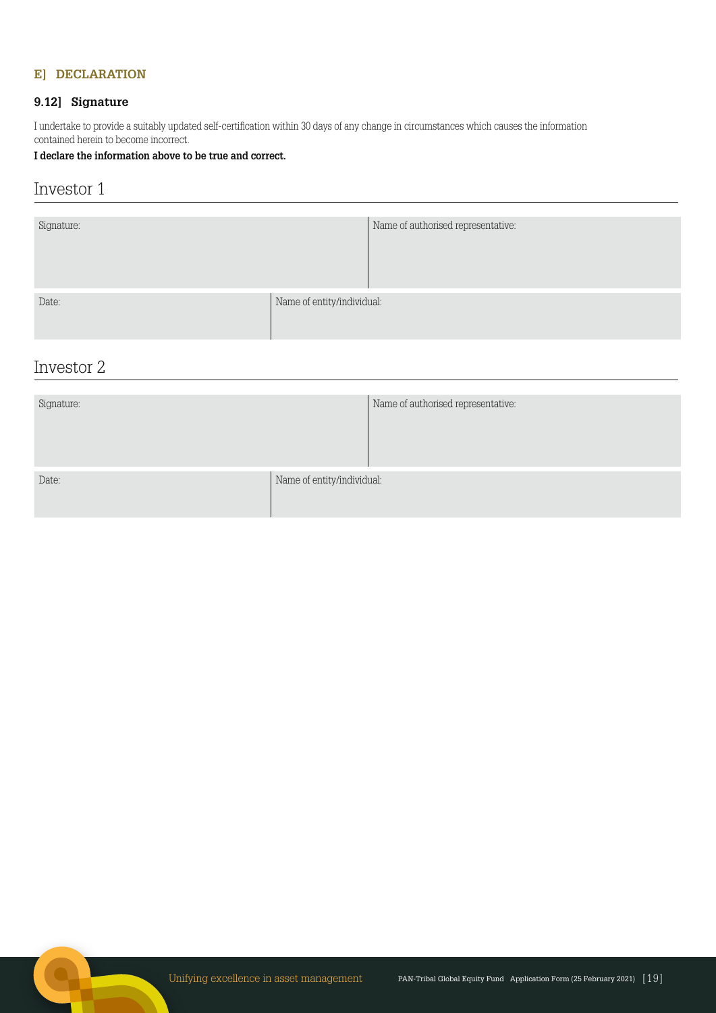## **E] DECLARATION**

## **9.12] Signature**

I undertake to provide a suitably updated self-certification within 30 days of any change in circumstances which causes the information contained herein to become incorrect.

#### **I declare the information above to be true and correct.**

# Investor 1

| Signature: |                            | Name of authorised representative: |
|------------|----------------------------|------------------------------------|
| Date:      | Name of entity/individual: |                                    |

# Investor 2

| Signature: |                            | Name of authorised representative: |
|------------|----------------------------|------------------------------------|
| Date:      | Name of entity/individual: |                                    |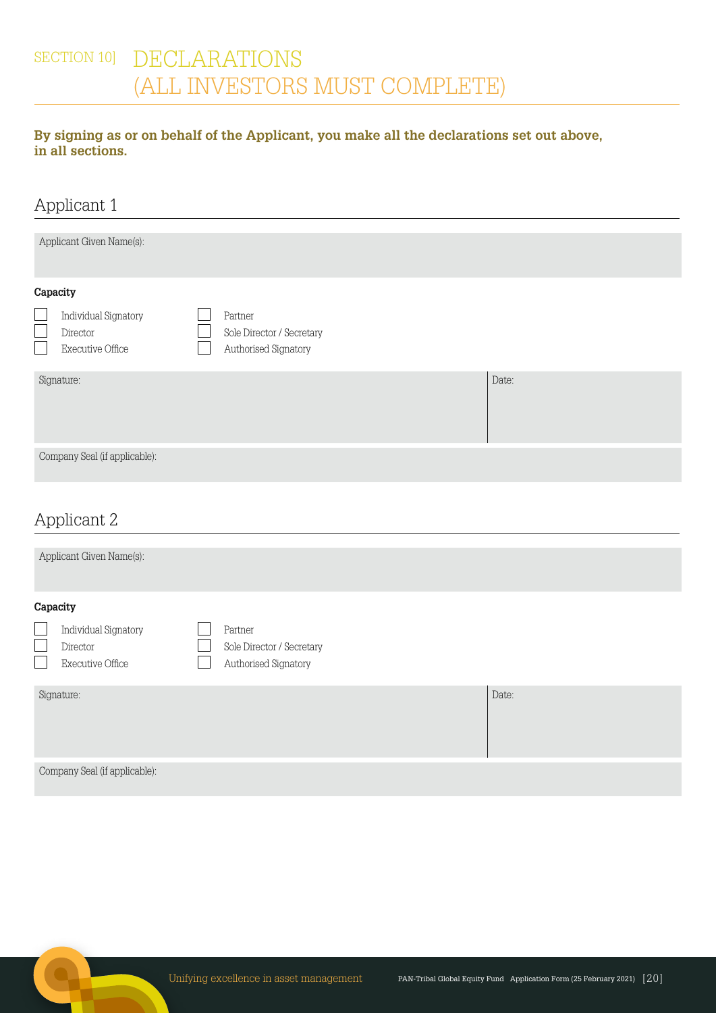# SECTION 10] DECLARATIONS (ALL INVESTORS MUST COMPLETE)

# **By signing as or on behalf of the Applicant, you make all the declarations set out above, in all sections.**

| Applicant 1                                                                                                               |                                                              |       |  |
|---------------------------------------------------------------------------------------------------------------------------|--------------------------------------------------------------|-------|--|
| Applicant Given Name(s):                                                                                                  |                                                              |       |  |
| Capacity                                                                                                                  |                                                              |       |  |
| Individual Signatory<br>Director<br><b>Executive Office</b>                                                               | Partner<br>Sole Director / Secretary<br>Authorised Signatory |       |  |
| Signature:                                                                                                                |                                                              | Date: |  |
| Company Seal (if applicable):                                                                                             |                                                              |       |  |
| the contract of the contract of the contract of the contract of the contract of the contract of the contract of<br>$\sim$ |                                                              |       |  |

# Applicant 2

| Applicant Given Name(s):                                                       |                                                              |  |  |  |
|--------------------------------------------------------------------------------|--------------------------------------------------------------|--|--|--|
| Capacity<br><b>Individual Signatory</b><br>Director<br><b>Executive Office</b> | Partner<br>Sole Director / Secretary<br>Authorised Signatory |  |  |  |
| Date:<br>Signature:                                                            |                                                              |  |  |  |
| Company Seal (if applicable):                                                  |                                                              |  |  |  |